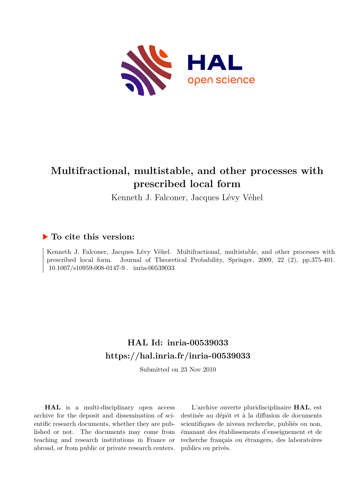

## **Multifractional, multistable, and other processes with prescribed local form**

Kenneth J. Falconer, Jacques Lévy Véhel

#### **To cite this version:**

Kenneth J. Falconer, Jacques Lévy Véhel. Multifractional, multistable, and other processes with prescribed local form. Journal of Theoretical Probability, Springer, 2009, 22 (2), pp.375-401.  $10.1007/s10959-008-0147-9$ . inria-00539033

## **HAL Id: inria-00539033 <https://hal.inria.fr/inria-00539033>**

Submitted on 23 Nov 2010

**HAL** is a multi-disciplinary open access archive for the deposit and dissemination of scientific research documents, whether they are published or not. The documents may come from teaching and research institutions in France or abroad, or from public or private research centers.

L'archive ouverte pluridisciplinaire **HAL**, est destinée au dépôt et à la diffusion de documents scientifiques de niveau recherche, publiés ou non, émanant des établissements d'enseignement et de recherche français ou étrangers, des laboratoires publics ou privés.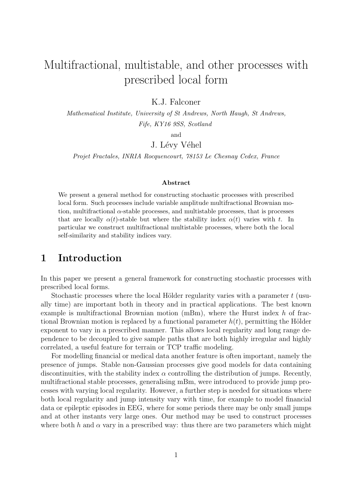# Multifractional, multistable, and other processes with prescribed local form

K.J. Falconer

Mathematical Institute, University of St Andrews, North Haugh, St Andrews, Fife, KY16 9SS, Scotland

and

J. Lévy Véhel

Projet Fractales, INRIA Rocquencourt, 78153 Le Chesnay Cedex, France

#### Abstract

We present a general method for constructing stochastic processes with prescribed local form. Such processes include variable amplitude multifractional Brownian motion, multifractional  $\alpha$ -stable processes, and multistable processes, that is processes that are locally  $\alpha(t)$ -stable but where the stability index  $\alpha(t)$  varies with t. In particular we construct multifractional multistable processes, where both the local self-similarity and stability indices vary.

#### 1 Introduction

In this paper we present a general framework for constructing stochastic processes with prescribed local forms.

Stochastic processes where the local Hölder regularity varies with a parameter  $t$  (usually time) are important both in theory and in practical applications. The best known example is multifractional Brownian motion  $(mBm)$ , where the Hurst index h of fractional Brownian motion is replaced by a functional parameter  $h(t)$ , permitting the Hölder exponent to vary in a prescribed manner. This allows local regularity and long range dependence to be decoupled to give sample paths that are both highly irregular and highly correlated, a useful feature for terrain or TCP traffic modeling.

For modelling financial or medical data another feature is often important, namely the presence of jumps. Stable non-Gaussian processes give good models for data containing discontinuities, with the stability index  $\alpha$  controlling the distribution of jumps. Recently, multifractional stable processes, generalising mBm, were introduced to provide jump processes with varying local regularity. However, a further step is needed for situations where both local regularity and jump intensity vary with time, for example to model financial data or epileptic episodes in EEG, where for some periods there may be only small jumps and at other instants very large ones. Our method may be used to construct processes where both h and  $\alpha$  vary in a prescribed way: thus there are two parameters which might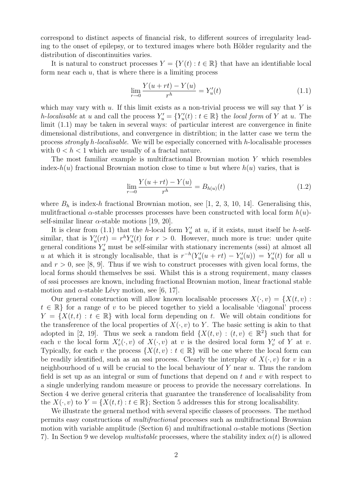correspond to distinct aspects of financial risk, to different sources of irregularity leading to the onset of epilepsy, or to textured images where both Hölder regularity and the distribution of discontinuities varies.

It is natural to construct processes  $Y = \{Y(t) : t \in \mathbb{R}\}\)$  that have an identifiable local form near each  $u$ , that is where there is a limiting process

$$
\lim_{r \to 0} \frac{Y(u + rt) - Y(u)}{r^h} = Y'_u(t) \tag{1.1}
$$

which may vary with  $u$ . If this limit exists as a non-trivial process we will say that Y is h-localisable at u and call the process  $Y'_u = \{Y'_u(t) : t \in \mathbb{R}\}\$  the local form of Y at u. The limit (1.1) may be taken in several ways: of particular interest are convergence in finite dimensional distributions, and convergence in distribtion; in the latter case we term the process strongly h-localisable. We will be especially concerned with h-localisable processes with  $0 < h < 1$  which are usually of a fractal nature.

The most familiar example is multifractional Brownian motion Y which resembles index- $h(u)$  fractional Brownian motion close to time u but where  $h(u)$  varies, that is

$$
\lim_{r \to 0} \frac{Y(u + rt) - Y(u)}{r^h} = B_{h(u)}(t)
$$
\n(1.2)

where  $B_h$  is index-h fractional Brownian motion, see [1, 2, 3, 10, 14]. Generalising this, mulitfractional  $\alpha$ -stable processes processes have been constructed with local form  $h(u)$ self-similar linear  $\alpha$ -stable motions [19, 20].

It is clear from (1.1) that the h-local form  $Y'_u$  at u, if it exists, must itself be h-selfsimilar, that is  $Y'_u(rt) = r^h Y'_u(t)$  for  $r > 0$ . However, much more is true: under quite general conditions  $Y'_u$  must be self-similar with stationary increments (sssi) at almost all u at which it is strongly localisable, that is  $r^{-h}(Y_u'(u + rt) - Y_u'(u)) = Y_u'(t)$  for all u and  $r > 0$ , see [8, 9]. Thus if we wish to construct processes with given local forms, the local forms should themselves be sssi. Whilst this is a strong requirement, many classes of sssi processes are known, including fractional Brownian motion, linear fractional stable motion and  $\alpha$ -stable Lévy motion, see [6, 17].

Our general construction will allow known localisable processes  $X(\cdot, v) = \{X(t, v) :$  $t \in \mathbb{R}$  for a range of v to be pieced together to yield a localisable 'diagonal' process  $Y = \{X(t,t): t \in \mathbb{R}\}\$  with local form depending on t. We will obtain conditions for the transference of the local properties of  $X(\cdot, v)$  to Y. The basic setting is akin to that adopted in [2, 19]. Thus we seek a random field  $\{X(t, v) : (t, v) \in \mathbb{R}^2\}$  such that for each v the local form  $X'_v(\cdot,v)$  of  $X(\cdot,v)$  at v is the desired local form  $Y'_v$  of Y at v. Typically, for each v the process  $\{X(t, v) : t \in \mathbb{R}\}\$  will be one where the local form can be readily identified, such as an sssi process. Clearly the interplay of  $X(\cdot, v)$  for v in a neighbourhood of u will be crucial to the local behaviour of Y near u. Thus the random field is set up as an integral or sum of functions that depend on  $t$  and  $v$  with respect to a single underlying random measure or process to provide the necessary correlations. In Section 4 we derive general criteria that guarantee the transference of localisability from the  $X(\cdot, v)$  to  $Y = \{X(t, t) : t \in \mathbb{R}\}$ ; Section 5 addresses this for strong localisability.

We illustrate the general method with several specific classes of processes. The method permits easy constructions of multifractional processes such as multifractional Brownian motion with variable amplitude (Section 6) and multifractional  $\alpha$ -stable motions (Section 7). In Section 9 we develop *multistable* processes, where the stability index  $\alpha(t)$  is allowed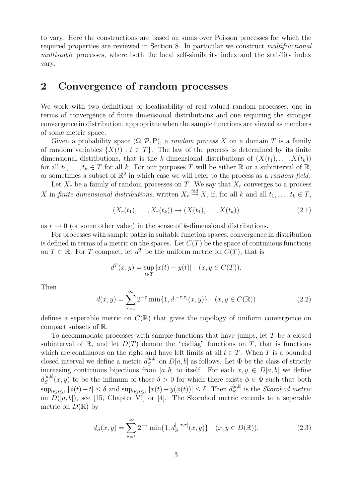to vary. Here the constructions are based on sums over Poisson processes for which the required properties are reviewed in Section 8. In particular we construct multifractional multistable processes, where both the local self-similarity index and the stability index vary.

#### 2 Convergence of random processes

We work with two definitions of localisability of real valued random processes, one in terms of convergence of finite dimensional distributions and one requiring the stronger convergence in distribution, appropriate when the sample functions are viewed as members of some metric space.

Given a probability space  $(\Omega, \mathcal{P}, P)$ , a *random process X* on a domain T is a family of random variables  $\{X(t): t \in T\}$ . The law of the process is determined by its finite dimensional distributions, that is the k-dimensional distributions of  $(X(t_1), \ldots, X(t_k))$ for all  $t_1, \ldots, t_k \in T$  for all k. For our purposes T will be either R or a subinterval of R, or sometimes a subset of  $\mathbb{R}^2$  in which case we will refer to the process as a *random field*.

Let  $X_r$  be a family of random processes on T. We say that  $X_r$  converges to a process X in finite-dimensional distributions, written  $X_r \stackrel{\text{fdd}}{\rightarrow} X$ , if, for all k and all  $t_1, \ldots, t_k \in T$ ,

$$
(X_r(t_1),...,X_r(t_k)) \to (X(t_1),...,X(t_k))
$$
\n(2.1)

as  $r \to 0$  (or some other value) in the sense of k-dimensional distributions.

For processes with sample paths in suitable function spaces, convergence in distribution is defined in terms of a metric on the spaces. Let  $C(T)$  be the space of continuous functions on  $T \subset \mathbb{R}$ . For T compact, let  $d^T$  be the uniform metric on  $C(T)$ , that is

$$
d^{T}(x, y) = \sup_{t \in T} |x(t) - y(t)| \quad (x, y \in C(T)).
$$

Then

$$
d(x,y) = \sum_{\tau=1}^{\infty} 2^{-\tau} \min\{1, d^{[-\tau,\tau]}(x,y)\} \quad (x, y \in C(\mathbb{R}))
$$
 (2.2)

defines a seperable metric on  $C(\mathbb{R})$  that gives the topology of uniform convergence on compact subsets of R.

To accommodate processes with sample functions that have jumps, let T be a closed subinterval of R, and let  $D(T)$  denote the "càdlàg" functions on T, that is functions which are continuous on the right and have left limits at all  $t \in T$ . When T is a bounded closed interval we define a metric  $d_S^{[a,b]}$  $S^{[a,0]}$  on  $D[a, b]$  as follows. Let  $\Phi$  be the class of strictly increasing continuous bijections from [a, b] to itself. For each  $x, y \in D[a, b]$  we define  $d_S^{[a,b]}$  $S^{a,b}(x, y)$  to be the infimum of those  $\delta > 0$  for which there exists  $\phi \in \Phi$  such that both  $\sup_{0 \leq t \leq 1} |\phi(t) - t| \leq \delta$  and  $\sup_{0 \leq t \leq 1} |x(t) - y(\phi(t))| \leq \delta$ . Then  $d_S^{[a,b]}$  $S^{[a,0]}$  is the *Skorohod metric* on  $D([a, b])$ , see [15, Chapter VI] or [4]. The Skorohod metric extends to a seperable metric on  $D(\mathbb{R})$  by

$$
d_S(x,y) = \sum_{\tau=1}^{\infty} 2^{-\tau} \min\{1, d_S^{[-\tau,\tau]}(x,y)\} \quad (x,y \in D(\mathbb{R})).
$$
 (2.3)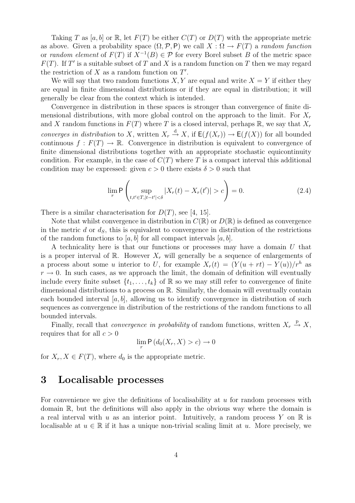Taking T as [a, b] or R, let  $F(T)$  be either  $C(T)$  or  $D(T)$  with the appropriate metric as above. Given a probability space  $(\Omega, \mathcal{P}, P)$  we call  $X : \Omega \to F(T)$  a random function or *random element* of  $F(T)$  if  $X^{-1}(B) \in \mathcal{P}$  for every Borel subset B of the metric space  $F(T)$ . If T' is a suitable subset of T and X is a random function on T then we may regard the restriction of  $X$  as a random function on  $T'$ .

We will say that two random functions  $X, Y$  are equal and write  $X = Y$  if either they are equal in finite dimensional distributions or if they are equal in distribution; it will generally be clear from the context which is intended.

Convergence in distribution in these spaces is stronger than convergence of finite dimensional distributions, with more global control on the approach to the limit. For  $X_r$ and X random functions in  $F(T)$  where T is a closed interval, perhaps R, we say that  $X_r$ converges in distribution to X, written  $X_r \stackrel{d}{\rightarrow} X$ , if  $\mathsf{E}(f(X_r)) \to \mathsf{E}(f(X))$  for all bounded continuous  $f: F(T) \to \mathbb{R}$ . Convergence in distribution is equivalent to convergence of finite dimensional distributions together with an appropriate stochastic equicontinuity condition. For example, in the case of  $C(T)$  where T is a compact interval this additional condition may be expressed: given  $c > 0$  there exists  $\delta > 0$  such that

$$
\lim_{r} \mathsf{P}\left(\sup_{t,t' \in T, |t-t'| < \delta} |X_r(t) - X_r(t')| > c\right) = 0.
$$
 (2.4)

There is a similar characterisation for  $D(T)$ , see [4, 15].

Note that whilst convergence in distribution in  $C(\mathbb{R})$  or  $D(\mathbb{R})$  is defined as convergence in the metric d or  $d<sub>S</sub>$ , this is equivalent to convergence in distribution of the restrictions of the random functions to [a, b] for all compact intervals  $[a, b]$ .

A technicality here is that our functions or processes may have a domain U that is a proper interval of R. However  $X_r$  will generally be a sequence of enlargements of a process about some u interior to U, for example  $X_r(t) = (Y(u + rt) - Y(u))/r^h$  as  $r \to 0$ . In such cases, as we approach the limit, the domain of definition will eventually include every finite subset  $\{t_1, \ldots, t_k\}$  of  $\mathbb R$  so we may still refer to convergence of finite dimensional distributions to a process on R. Similarly, the domain will eventually contain each bounded interval  $[a, b]$ , allowing us to identify convergence in distribution of such sequences as convergence in distribution of the restrictions of the random functions to all bounded intervals.

Finally, recall that *convergence in probability* of random functions, written  $X_r \stackrel{p}{\rightarrow} X$ , requires that for all  $c > 0$ 

$$
\lim_{r} \mathsf{P}\left(d_0(X_r, X) > c\right) \to 0
$$

for  $X_r, X \in F(T)$ , where  $d_0$  is the appropriate metric.

#### 3 Localisable processes

For convenience we give the definitions of localisability at  $u$  for random processes with domain R, but the definitions will also apply in the obvious way where the domain is a real interval with u as an interior point. Intuitively, a random process Y on  $\mathbb R$  is localisable at  $u \in \mathbb{R}$  if it has a unique non-trivial scaling limit at u. More precisely, we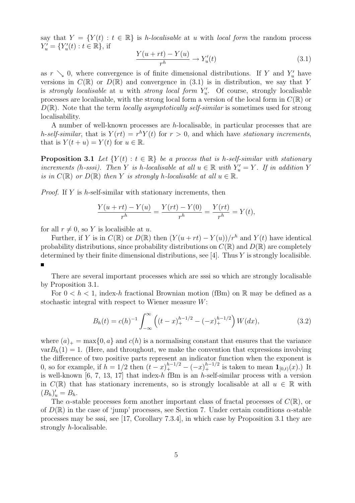say that  $Y = \{Y(t) : t \in \mathbb{R}\}\$ is *h*-localisable at u with local form the random process  $Y'_u = \{Y'_u(t) : t \in \mathbb{R}\},\$ if

$$
\frac{Y(u+rt) - Y(u)}{r^h} \to Y'_u(t) \tag{3.1}
$$

as  $r \searrow 0$ , where convergence is of finite dimensional distributions. If Y and  $Y'_u$  have versions in  $C(\mathbb{R})$  or  $D(\mathbb{R})$  and convergence in (3.1) is in distribution, we say that Y is strongly localisable at u with strong local form  $Y'_u$ . Of course, strongly localisable processes are localisable, with the strong local form a version of the local form in  $C(\mathbb{R})$  or  $D(\mathbb{R})$ . Note that the term *locally asymptotically self-similar* is sometimes used for strong localisability.

A number of well-known processes are h-localisable, in particular processes that are h-self-similar, that is  $Y(rt) = r^h Y(t)$  for  $r > 0$ , and which have stationary increments, that is  $Y(t+u) = Y(t)$  for  $u \in \mathbb{R}$ .

**Proposition 3.1** Let  $\{Y(t): t \in \mathbb{R}\}$  be a process that is h-self-similar with stationary increments (h-sssi). Then Y is h-localisable at all  $u \in \mathbb{R}$  with  $Y'_u = Y$ . If in addition Y is in  $C(\mathbb{R})$  or  $D(\mathbb{R})$  then Y is strongly h-localisable at all  $u \in \mathbb{R}$ .

*Proof.* If Y is h-self-similar with stationary increments, then

$$
\frac{Y(u+rt) - Y(u)}{r^h} = \frac{Y(rt) - Y(0)}{r^h} = \frac{Y(rt)}{r^h} = Y(t),
$$

for all  $r \neq 0$ , so Y is localisible at u.

Further, if Y is in  $C(\mathbb{R})$  or  $D(\mathbb{R})$  then  $(Y(u + rt) - Y(u))/r^h$  and  $Y(t)$  have identical probability distributions, since probability distributions on  $C(\mathbb{R})$  and  $D(\mathbb{R})$  are completely determined by their finite dimensional distributions, see [4]. Thus  $Y$  is strongly localisible.

There are several important processes which are sssi so which are strongly localisable by Proposition 3.1.

For  $0 < h < 1$ , index-h fractional Brownian motion (fBm) on R may be defined as a stochastic integral with respect to Wiener measure W:

$$
B_h(t) = c(h)^{-1} \int_{-\infty}^{\infty} \left( (t - x)_+^{h - 1/2} - (-x)_+^{h - 1/2} \right) W(dx), \tag{3.2}
$$

where  $(a)_+$  = max $\{0, a\}$  and  $c(h)$  is a normalising constant that ensures that the variance  $varB_h(1) = 1$ . (Here, and throughout, we make the convention that expressions involving the difference of two positive parts represent an indicator function when the exponent is 0, so for example, if  $h = 1/2$  then  $(t - x)^{h-1/2}$  –  $(-x)^{h-1/2}$  is taken to mean  $\mathbf{1}_{[0,t)}(x)$ .) It is well-known [6, 7, 13, 17] that index-h fBm is an h-self-similar process with a version in  $C(\mathbb{R})$  that has stationary increments, so is strongly localisable at all  $u \in \mathbb{R}$  with  $(B_h)'_u = B_h.$ 

The  $\alpha$ -stable processes form another important class of fractal processes of  $C(\mathbb{R})$ , or of  $D(\mathbb{R})$  in the case of 'jump' processes, see Section 7. Under certain conditions  $\alpha$ -stable processes may be sssi, see [17, Corollary 7.3.4], in which case by Proposition 3.1 they are strongly h-localisable.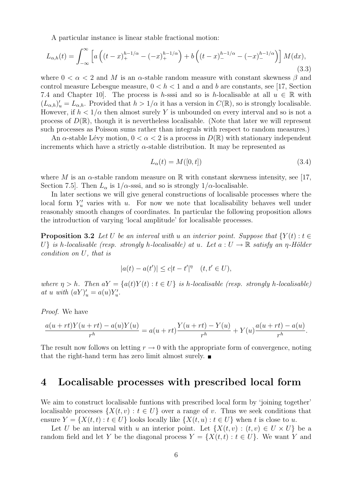A particular instance is linear stable fractional motion:

$$
L_{\alpha,h}(t) = \int_{-\infty}^{\infty} \left[ a \left( (t-x)_+^{h-1/\alpha} - (-x)_+^{h-1/\alpha} \right) + b \left( (t-x)_-^{h-1/\alpha} - (-x)_-^{h-1/\alpha} \right) \right] M(dx),\tag{3.3}
$$

where  $0 < \alpha < 2$  and M is an  $\alpha$ -stable random measure with constant skewness  $\beta$  and control measure Lebesgue measure,  $0 < h < 1$  and a and b are constants, see [17, Section 7.4 and Chapter 10. The process is h-sssi and so is h-localisable at all  $u \in \mathbb{R}$  with  $(L_{\alpha,h})'_u = L_{\alpha,h}$ . Provided that  $h > 1/\alpha$  it has a version in  $C(\mathbb{R})$ , so is strongly localisable. However, if  $h < 1/\alpha$  then almost surely Y is unbounded on every interval and so is not a process of  $D(\mathbb{R})$ , though it is nevertheless localisable. (Note that later we will represent such processes as Poisson sums rather than integrals with respect to random measures.)

An  $\alpha$ -stable Lévy motion,  $0 < \alpha < 2$  is a process in  $D(\mathbb{R})$  with stationary independent increments which have a strictly  $\alpha$ -stable distribution. It may be represented as

$$
L_{\alpha}(t) = M([0, t]) \tag{3.4}
$$

where M is an  $\alpha$ -stable random measure on R with constant skewness intensity, see [17, Section 7.5. Then  $L_{\alpha}$  is  $1/\alpha$ -sssi, and so is strongly  $1/\alpha$ -localisable.

In later sections we will give general constructions of localisable processes where the local form  $Y'_u$  varies with u. For now we note that localisability behaves well under reasonably smooth changes of coordinates. In particular the following proposition allows the introduction of varying 'local amplitude' for localisable processes.

**Proposition 3.2** Let U be an interval with u an interior point. Suppose that  $\{Y(t): t \in$ U} is h-localisable (resp. strongly h-localisable) at u. Let  $a: U \to \mathbb{R}$  satisfy an  $n$ -Hölder condition on U, that is

$$
|a(t) - a(t')| \le c|t - t'|^{\eta} \quad (t, t' \in U),
$$

where  $\eta > h$ . Then  $aY = \{a(t)Y(t) : t \in U\}$  is h-localisable (resp. strongly h-localisable) at u with  $(aY)'_u = a(u)Y'_u$ .

Proof. We have

$$
\frac{a(u+rt)Y(u+rt) - a(u)Y(u)}{r^h} = a(u+rt)\frac{Y(u+rt) - Y(u)}{r^h} + Y(u)\frac{a(u+rt) - a(u)}{r^h}.
$$

The result now follows on letting  $r \to 0$  with the appropriate form of convergence, noting that the right-hand term has zero limit almost surely.

#### 4 Localisable processes with prescribed local form

We aim to construct localisable funtions with prescribed local form by 'joining together' localisable processes  $\{X(t, v) : t \in U\}$  over a range of v. Thus we seek conditions that ensure  $Y = \{X(t,t): t \in U\}$  looks locally like  $\{X(t,u): t \in U\}$  when t is close to u.

Let U be an interval with u an interior point. Let  $\{X(t, v) : (t, v) \in U \times U\}$  be a random field and let Y be the diagonal process  $Y = \{X(t,t): t \in U\}$ . We want Y and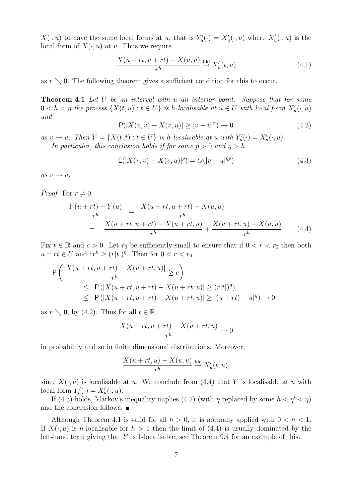$X(\cdot, u)$  to have the same local forms at u, that is  $Y'_u(\cdot) = X'_u(\cdot, u)$  where  $X'_u(\cdot, u)$  is the local form of  $X(\cdot, u)$  at u. Thus we require

$$
\frac{X(u+rt, u+rt) - X(u, u)}{r^h} \stackrel{\text{fdd}}{\to} X'_u(t, u) \tag{4.1}
$$

as  $r \searrow 0$ . The following theorem gives a sufficient condition for this to occur.

**Theorem 4.1** Let U be an interval with u an interior point. Suppose that for some  $0 < h < \eta$  the process  $\{X(t, u) : t \in U\}$  is h-localisable at  $u \in U$  with local form  $X'_u(\cdot, u)$ and

$$
P(|X(v,v) - X(v,u)| \ge |v - u|^{\eta}) \to 0
$$
\n(4.2)

as  $v \to u$ . Then  $Y = \{X(t,t) : t \in U\}$  is h-localisable at u with  $Y'_u(\cdot) = X'_u(\cdot, u)$ . In particular, this conclusion holds if for some  $p > 0$  and  $\eta > h$ 

$$
E(|X(v,v) - X(v,u)|^{p}) = O(|v-u|^{np})
$$
\n(4.3)

as  $v \rightarrow u$ .

*Proof.* For  $r \neq 0$ 

$$
\frac{Y(u+rt) - Y(u)}{r^h} = \frac{X(u+rt, u+rt) - X(u, u)}{r^h}
$$
  
= 
$$
\frac{X(u+rt, u+rt) - X(u+rt, u)}{r^h} + \frac{X(u+rt, u) - X(u, u)}{r^h}.
$$
 (4.4)

Fix  $t \in \mathbb{R}$  and  $c > 0$ . Let  $r_0$  be sufficiently small to ensure that if  $0 < r < r_0$  then both  $u \pm rt \in U$  and  $cr^h \ge (r|t|)^{\eta}$ . Then for  $0 < r < r_0$ 

$$
\mathsf{P}\left(\frac{|X(u+rt, u+rt) - X(u+rt, u)|}{r^h} \ge c\right)
$$
\n
$$
\le \mathsf{P}\left(|X(u+rt, u+rt) - X(u+rt, u)| \ge (r|t|)^{\eta}\right)
$$
\n
$$
\le \mathsf{P}\left(|X(u+rt, u+rt) - X(u+rt, u)| \ge |(u+rt) - u|^{\eta}\right) \to 0
$$

as  $r \searrow 0$ , by (4.2). Thus for all  $t \in \mathbb{R}$ ,

$$
\frac{X(u+rt, u+rt) - X(u+rt, u)}{r^h} \to 0
$$

in probability and so in finite dimensional distributions. Moreover,

$$
\frac{X(u+rt,u)-X(u,u)}{r^h} \stackrel{\text{fdd}}{\to} X'_u(t,u),
$$

since  $X(\cdot, u)$  is localisable at u. We conclude from (4.4) that Y is localisable at u with local form  $Y'_u(\cdot) = X'_u(\cdot, u)$ .

If (4.3) holds, Markov's inequality implies (4.2) (with  $\eta$  replaced by some  $h < \eta' < \eta$ ) and the conclusion follows.  $\blacksquare$ 

Although Theorem 4.1 is valid for all  $h > 0$ , it is normally applied with  $0 < h < 1$ . If  $X(\cdot, u)$  is h-localisable for  $h > 1$  then the limit of (4.4) is usually dominated by the left-hand term giving that Y is 1-localisable, see Theorem 9.4 for an example of this.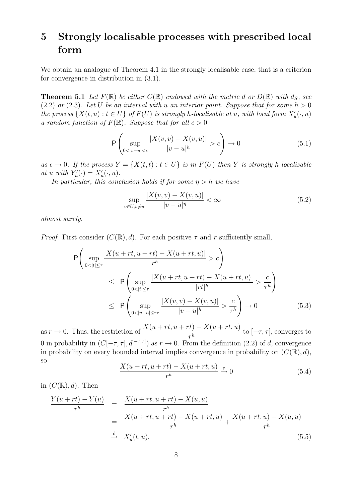## 5 Strongly localisable processes with prescribed local form

We obtain an analogue of Theorem 4.1 in the strongly localisable case, that is a criterion for convergence in distribution in (3.1).

**Theorem 5.1** Let  $F(\mathbb{R})$  be either  $C(\mathbb{R})$  endowed with the metric d or  $D(\mathbb{R})$  with  $d_S$ , see (2.2) or (2.3). Let U be an interval with u an interior point. Suppose that for some  $h > 0$ the process  $\{X(t, u): t \in U\}$  of  $F(U)$  is strongly h-localisable at u, with local form  $X'_u(\cdot, u)$ a random function of  $F(\mathbb{R})$ . Suppose that for all  $c > 0$ 

$$
\mathsf{P}\left(\sup_{0<|v-u|<\epsilon} \frac{|X(v,v)-X(v,u)|}{|v-u|^h}>c\right)\to 0\tag{5.1}
$$

as  $\epsilon \to 0$ . If the process  $Y = \{X(t,t) : t \in U\}$  is in  $F(U)$  then Y is strongly h-localisable at u with  $Y'_u(\cdot) = X'_u(\cdot, u)$ .

In particular, this conclusion holds if for some  $\eta > h$  we have

$$
\sup_{v \in U, v \neq u} \frac{|X(v, v) - X(v, u)|}{|v - u|^{\eta}} < \infty \tag{5.2}
$$

almost surely.

*Proof.* First consider  $(C(\mathbb{R}), d)$ . For each positive  $\tau$  and r sufficiently small,

$$
\mathsf{P}\left(\sup_{0<|t|\leq\tau} \frac{|X(u+rt, u+rt)-X(u+rt, u)|}{r^h}>c\right) \leq \mathsf{P}\left(\sup_{0<|t|\leq\tau} \frac{|X(u+rt, u+rt)-X(u+rt, u)|}{|rt|^h}>\frac{c}{\tau^h}\right) \leq \mathsf{P}\left(\sup_{0<|v-u|\leq r\tau} \frac{|X(v, v)-X(v, u)|}{|v-u|^h}>\frac{c}{\tau^h}\right)\to 0 \tag{5.3}
$$

as  $r \to 0$ . Thus, the restriction of  $\frac{X(u + rt, u + rt) - X(u + rt, u)}{h}$  $\frac{r}{r^h}$  to  $[-\tau, \tau]$ , converges to 0 in probability in  $(C[-\tau, \tau], d^{[-\tau, \tau]})$  as  $r \to 0$ . From the definition (2.2) of d, convergence in probability on every bounded interval implies convergence in probability on  $(C(\mathbb{R}), d)$ , so

$$
\frac{X(u+rt, u+rt) - X(u+rt, u)}{r^h} \xrightarrow{p} 0
$$
\n(5.4)

in  $(C(\mathbb{R}), d)$ . Then

$$
\frac{Y(u+rt) - Y(u)}{r^h} = \frac{X(u+rt, u+rt) - X(u, u)}{r^h}
$$
\n
$$
= \frac{X(u+rt, u+rt) - X(u+rt, u)}{r^h} + \frac{X(u+rt, u) - X(u, u)}{r^h}
$$
\n
$$
\stackrel{d}{\to} X'_u(t, u),
$$
\n(5.5)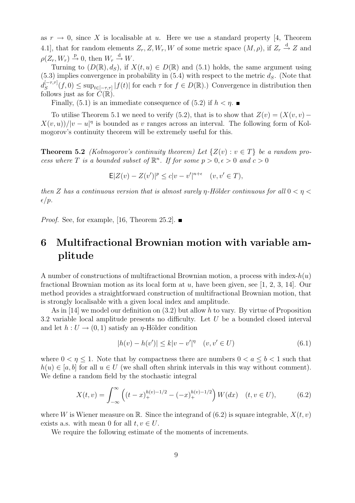as  $r \to 0$ , since X is localisable at u. Here we use a standard property [4, Theorem 4.1], that for random elements  $Z_r, Z, W_r, W$  of some metric space  $(M, \rho)$ , if  $Z_r \stackrel{d}{\rightarrow} Z$  and  $\rho(Z_r, W_r) \stackrel{\text{p}}{\rightarrow} 0$ , then  $W_r \stackrel{\text{d}}{\rightarrow} W$ .

Turning to  $(D(\mathbb{R}), d_S)$ , if  $X(t, u) \in D(\mathbb{R})$  and  $(5.1)$  holds, the same argument using  $(5.3)$  implies convergence in probability in  $(5.4)$  with respect to the metric  $d_s$ . (Note that  $d_S^{[-\tau,\tau]}$  $\int_{S}^{[-\tau,\tau]}(f,0) \leq \sup_{t \in [-\tau,\tau]} |f(t)|$  for each  $\tau$  for  $f \in D(\mathbb{R})$ .) Convergence in distribution then follows just as for  $C(\mathbb{R})$ .

Finally,  $(5.1)$  is an immediate consequence of  $(5.2)$  if  $h < \eta$ .

To utilise Theorem 5.1 we need to verify (5.2), that is to show that  $Z(v) = (X(v, v) X(v, u)/|v - u|^{\eta}$  is bounded as v ranges across an interval. The following form of Kolmogorov's continuity theorem will be extremely useful for this.

**Theorem 5.2** (Kolmogorov's continuity theorem) Let  $\{Z(v): v \in T\}$  be a random process where T is a bounded subset of  $\mathbb{R}^n$ . If for some  $p > 0, \epsilon > 0$  and  $c > 0$ 

$$
E|Z(v) - Z(v')|^p \le c|v - v'|^{n+\epsilon} \quad (v, v' \in T),
$$

then Z has a continuous version that is almost surely  $\eta$ -Hölder continuous for all  $0 < \eta <$  $\epsilon/p$ .

*Proof.* See, for example, [16, Theorem 25.2].  $\blacksquare$ 

## 6 Multifractional Brownian motion with variable amplitude

A number of constructions of multifractional Brownian motion, a process with index- $h(u)$ fractional Brownian motion as its local form at u, have been given, see [1, 2, 3, 14]. Our method provides a straightforward construction of multifractional Brownian motion, that is strongly localisable with a given local index and amplitude.

As in [14] we model our definition on  $(3.2)$  but allow h to vary. By virtue of Proposition 3.2 variable local amplitude presents no difficulty. Let U be a bounded closed interval and let  $h: U \to (0, 1)$  satisfy an  $\eta$ -Hölder condition

$$
|h(v) - h(v')| \le k|v - v'|^{\eta} \quad (v, v' \in U)
$$
\n(6.1)

where  $0 < \eta \leq 1$ . Note that by compactness there are numbers  $0 < a \leq b < 1$  such that  $h(u) \in [a, b]$  for all  $u \in U$  (we shall often shrink intervals in this way without comment). We define a random field by the stochastic integral

$$
X(t,v) = \int_{-\infty}^{\infty} \left( (t-x)_+^{h(v)-1/2} - (-x)_+^{h(v)-1/2} \right) W(dx) \quad (t,v \in U), \tag{6.2}
$$

where W is Wiener measure on R. Since the integrand of  $(6.2)$  is square integrable,  $X(t, v)$ exists a.s. with mean 0 for all  $t, v \in U$ .

We require the following estimate of the moments of increments.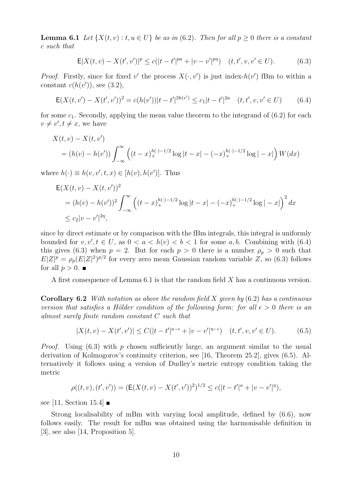**Lemma 6.1** Let  $\{X(t, v): t, u \in U\}$  be as in (6.2). Then for all  $p > 0$  there is a constant c such that

$$
\mathsf{E}|X(t,v) - X(t',v')|^p \le c(|t-t'|^{pa} + |v-v'|^{pq}) \quad (t,t',v,v' \in U). \tag{6.3}
$$

*Proof.* Firstly, since for fixed v' the process  $X(\cdot, v')$  is just index- $h(v')$  fBm to within a constant  $c(h(v'))$ , see (3.2),

$$
\mathsf{E}(X(t, v') - X(t', v'))^2 = c(h(v'))|t - t'|^{2h(v')} \le c_1|t - t'|^{2a} \quad (t, t', v, v' \in U) \tag{6.4}
$$

for some  $c_1$ . Secondly, applying the mean value theorem to the integrand of  $(6.2)$  for each  $v \neq v', t \neq x$ , we have

$$
X(t, v) - X(t, v')
$$
  
=  $(h(v) - h(v')) \int_{-\infty}^{\infty} \left( (t - x)_+^{h(\cdot)-1/2} \log|t - x| - (-x)_+^{h(\cdot)-1/2} \log|-x| \right) W(dx)$ 

where  $h(\cdot) \equiv h(v, v', t, x) \in [h(v), h(v')]$ . Thus

$$
E(X(t, v) - X(t, v'))^{2}
$$
  
=  $(h(v) - h(v'))^{2} \int_{-\infty}^{\infty} ((t - x)_{+}^{h(\cdot)-1/2} \log |t - x| - (-x)_{+}^{h(\cdot)-1/2} \log |-x|)^{2} dx$   
 $\leq c_{2}|v - v'|^{2\eta},$ 

since by direct estimate or by comparison with the fBm integrals, this integral is uniformly bounded for  $v, v', t \in U$ , as  $0 < a < h(v) < b < 1$  for some a, b. Combining with (6.4) this gives (6.3) when  $p = 2$ . But for each  $p > 0$  there is a number  $\rho_p > 0$  such that  $E|Z|^p = \rho_p(E|Z|^2)^{p/2}$  for every zero mean Gaussian random variable Z, so (6.3) follows for all  $p > 0$ .

A first consequence of Lemma 6.1 is that the random field X has a continuous version.

**Corollary 6.2** With notation as above the random field  $X$  given by  $(6.2)$  has a continuous version that satisfies a Hölder condition of the following form: for all  $\epsilon > 0$  there is an almost surely finite random constant C such that

$$
|X(t,v) - X(t',v')| \le C(|t-t'|^{a-\epsilon} + |v-v'|^{\eta-\epsilon}) \quad (t,t',v,v' \in U). \tag{6.5}
$$

*Proof.* Using  $(6.3)$  with p chosen sufficiently large, an argument similar to the usual derivation of Kolmogorov's continuity criterion, see [16, Theorem 25.2], gives (6.5). Alternatively it follows using a version of Dudley's metric entropy condition taking the metric

$$
\rho((t,v),(t',v')) = (\mathsf{E}(X(t,v)-X(t',v'))^2)^{1/2} \le c(|t-t'|^a + |v-v'|^{\eta}),
$$

see [11, Section 15.4]  $\blacksquare$ 

Strong localisability of mBm with varying local amplitude, defined by (6.6), now follows easily. The result for mBm was obtained using the harmonisable definition in [3], see also [14, Proposition 5].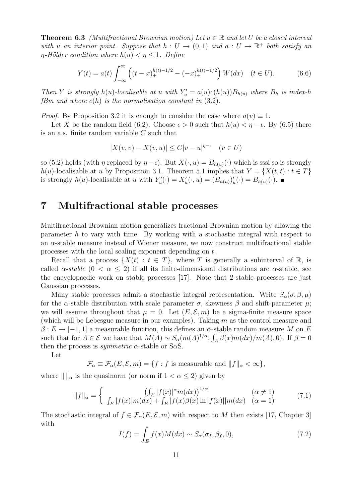**Theorem 6.3** (Multifractional Brownian motion) Let  $u \in \mathbb{R}$  and let U be a closed interval with u an interior point. Suppose that  $h: U \to (0,1)$  and  $a: U \to \mathbb{R}^+$  both satisfy an  $\eta$ -Hölder condition where  $h(u) < \eta \leq 1$ . Define

$$
Y(t) = a(t) \int_{-\infty}^{\infty} \left( (t - x)_+^{h(t)-1/2} - (-x)_+^{h(t)-1/2} \right) W(dx) \quad (t \in U). \tag{6.6}
$$

Then Y is strongly  $h(u)$ -localisable at u with  $Y'_u = a(u)c(h(u))B_{h(u)}$  where  $B_h$  is index-h fBm and where  $c(h)$  is the normalisation constant in  $(3.2)$ .

*Proof.* By Proposition 3.2 it is enough to consider the case where  $a(v) \equiv 1$ .

Let X be the random field (6.2). Choose  $\epsilon > 0$  such that  $h(u) < \eta - \epsilon$ . By (6.5) there is an a.s. finite random variable C such that

$$
|X(v,v) - X(v,u)| \le C|v-u|^{\eta-\epsilon} \quad (v \in U)
$$

so (5.2) holds (with  $\eta$  replaced by  $\eta - \epsilon$ ). But  $X(\cdot, u) = B_{h(u)}(\cdot)$  which is sssi so is strongly h(u)-localisable at u by Proposition 3.1. Theorem 5.1 implies that  $Y = \{X(t,t): t \in T\}$ is strongly  $h(u)$ -localisable at u with  $Y'_u(\cdot) = X'_u(\cdot, u) = (B_{h(u)})'_u(\cdot) = B_{h(u)}(\cdot)$ .

#### 7 Multifractional stable processes

Multifractional Brownian motion generalizes fractional Brownian motion by allowing the parameter h to vary with time. By working with a stochastic integral with respect to an  $\alpha$ -stable measure instead of Wiener measure, we now construct multifractional stable processes with the local scaling exponent depending on t.

Recall that a process  $\{X(t): t \in T\}$ , where T is generally a subinterval of R, is called  $\alpha$ -stable  $(0 < \alpha \leq 2)$  if all its finite-dimensional distributions are  $\alpha$ -stable, see the encyclopaedic work on stable processes [17]. Note that 2-stable processes are just Gaussian processes.

Many stable processes admit a stochastic integral representation. Write  $S_{\alpha}(\sigma,\beta,\mu)$ for the  $\alpha$ -stable distribution with scale parameter  $\sigma$ , skewness  $\beta$  and shift-parameter  $\mu$ ; we will assume throughout that  $\mu = 0$ . Let  $(E, \mathcal{E}, m)$  be a sigma-finite measure space (which will be Lebesgue measure in our examples). Taking m as the control measure and  $\beta: E \to [-1,1]$  a measurable function, this defines an  $\alpha$ -stable random measure M on E such that for  $A \in \mathcal{E}$  we have that  $M(A) \sim S_\alpha(m(A)^{1/\alpha}, \int_A \beta(x)m(dx)/m(A), 0)$ . If  $\beta = 0$ then the process is *symmetric*  $\alpha$ -stable or S $\alpha$ S.

Let

 $\mathcal{F}_{\alpha} \equiv \mathcal{F}_{\alpha}(E, \mathcal{E}, m) = \{f : f \text{ is measurable and } ||f||_{\alpha} < \infty\},\$ 

where  $\| \cdot \|_{\alpha}$  is the quasinorm (or norm if  $1 < \alpha \leq 2$ ) given by

$$
||f||_{\alpha} = \begin{cases} ( \int_{E} |f(x)|^{\alpha} m(dx) \Big)^{1/\alpha} & (\alpha \neq 1) \\ \int_{E} |f(x)| m(dx) + \int_{E} |f(x)\beta(x) \ln |f(x)| |m(dx) & (\alpha = 1) \end{cases}
$$
(7.1)

The stochastic integral of  $f \in \mathcal{F}_{\alpha}(E, \mathcal{E}, m)$  with respect to M then exists [17, Chapter 3] with

$$
I(f) = \int_{E} f(x)M(dx) \sim S_{\alpha}(\sigma_f, \beta_f, 0),\tag{7.2}
$$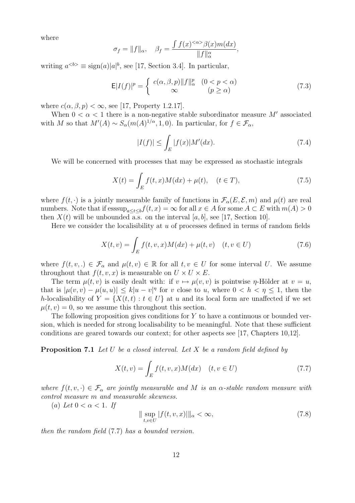where

$$
\sigma_f = ||f||_{\alpha}, \quad \beta_f = \frac{\int f(x)^{<\alpha>} \beta(x) m(dx)}{||f||_{\alpha}^{\alpha}},
$$

writing  $a^{**} \equiv \text{sign}(a)|a|^b**$ , see [17, Section 3.4]. In particular,

$$
\mathsf{E}|I(f)|^p = \begin{cases} c(\alpha,\beta,p) \|f\|_\alpha^p & (0 < p < \alpha) \\ \infty & (p \ge \alpha) \end{cases} \tag{7.3}
$$

where  $c(\alpha, \beta, p) < \infty$ , see [17, Property 1.2.17].

When  $0 < \alpha < 1$  there is a non-negative stable subordinator measure M' associated with M so that  $M'(A) \sim S_\alpha(m(A)^{1/\alpha}, 1, 0)$ . In particular, for  $f \in \mathcal{F}_\alpha$ ,

$$
|I(f)| \le \int_{E} |f(x)| M'(dx). \tag{7.4}
$$

We will be concerned with processes that may be expressed as stochastic integrals

$$
X(t) = \int_{E} f(t, x)M(dx) + \mu(t), \quad (t \in T),
$$
\n(7.5)

where  $f(t, \cdot)$  is a jointly measurable family of functions in  $\mathcal{F}_{\alpha}(E, \mathcal{E}, m)$  and  $\mu(t)$  are real numbers. Note that if  $\operatorname{esssup}_{a \le t \le b} f(t, x) = \infty$  for all  $x \in A$  for some  $A \subset E$  with  $m(A) > 0$ then  $X(t)$  will be unbounded a.s. on the interval [a, b], see [17, Section 10].

Here we consider the localisibility at  $u$  of processes defined in terms of random fields

$$
X(t, v) = \int_{E} f(t, v, x) M(dx) + \mu(t, v) \quad (t, v \in U)
$$
\n(7.6)

where  $f(t, v,.) \in \mathcal{F}_{\alpha}$  and  $\mu(t, v) \in \mathbb{R}$  for all  $t, v \in U$  for some interval U. We assume throughout that  $f(t, v, x)$  is measurable on  $U \times U \times E$ .

The term  $\mu(t, v)$  is easily dealt with: if  $v \mapsto \mu(v, v)$  is pointwise  $\eta$ -Hölder at  $v = u$ , that is  $|\mu(v, v) - \mu(u, u)| \leq k|u - v|^\eta$  for v close to u, where  $0 < h < \eta \leq 1$ , then the h-localisability of  $Y = \{X(t,t): t \in U\}$  at u and its local form are unaffected if we set  $\mu(t, v) = 0$ , so we assume this throughout this section.

The following proposition gives conditions for  $Y$  to have a continuous or bounded version, which is needed for strong localisability to be meaningful. Note that these sufficient conditions are geared towards our context; for other aspects see [17, Chapters 10,12].

**Proposition 7.1** Let U be a closed interval. Let X be a random field defined by

$$
X(t,v) = \int_{E} f(t,v,x)M(dx) \quad (t,v \in U)
$$
\n(7.7)

where  $f(t, v, \cdot) \in \mathcal{F}_{\alpha}$  are jointly measurable and M is an  $\alpha$ -stable random measure with control measure m and measurable skewness.

(a) Let  $0 < \alpha < 1$ . If

$$
\|\sup_{t,v\in U}|f(t,v,x)|\|_{\alpha} < \infty,
$$
\n(7.8)

then the random field (7.7) has a bounded version.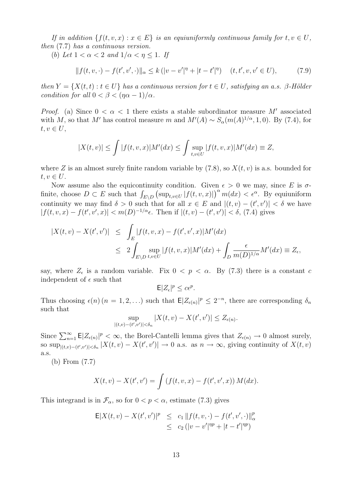If in addition  $\{f(t, v, x) : x \in E\}$  is an equiuniformly continuous family for  $t, v \in U$ , then (7.7) has a continuous version.

(b) Let  $1 < \alpha < 2$  and  $1/\alpha < \eta \leq 1$ . If

$$
|| f(t, v, \cdot) - f(t', v', \cdot)||_{\alpha} \le k (|v - v'|^{\eta} + |t - t'|^{\eta}) \quad (t, t', v, v' \in U), \tag{7.9}
$$

then  $Y = \{X(t,t): t \in U\}$  has a continuous version for  $t \in U$ , satisfying an a.s. β-Hölder condition for all  $0 < \beta < (\eta \alpha - 1)/\alpha$ .

*Proof.* (a) Since  $0 < \alpha < 1$  there exists a stable subordinator measure M' associated with M, so that M' has control measure m and  $M'(A) \sim S_\alpha(m(A)^{1/\alpha}, 1, 0)$ . By (7.4), for  $t, v \in U$ ,

$$
|X(t,v)| \le \int |f(t,v,x)| M'(dx) \le \int \sup_{t,v \in U} |f(t,v,x)| M'(dx) \equiv Z,
$$

where Z is an almost surely finite random variable by  $(7.8)$ , so  $X(t, v)$  is a.s. bounded for  $t, v \in U$ .

Now assume also the equicontinuity condition. Given  $\epsilon > 0$  we may, since E is  $\sigma$ finite, choose  $D \subset E$  such that  $\int_{E \setminus D} (\sup_{t,v \in U} |f(t,v,x)|)^{\alpha} m(dx) < \epsilon^{\alpha}$ . By equiuniform continuity we may find  $\delta > 0$  such that for all  $x \in E$  and  $|(t, v) - (t', v')| < \delta$  we have  $|f(t, v, x) - f(t', v', x)| < m(D)^{-1/\alpha} \epsilon$ . Then if  $|(t, v) - (t', v')| < \delta$ , (7.4) gives

$$
\begin{aligned} |X(t,v) - X(t',v')| &\leq \int_E |f(t,v,x) - f(t',v',x)| M'(dx) \\ &\leq 2 \int_{E \backslash D} \sup_{t,v \in U} |f(t,v,x)| M'(dx) + \int_D \frac{\epsilon}{m(D)^{1/\alpha}} M'(dx) \equiv Z_{\epsilon}, \end{aligned}
$$

say, where  $Z_{\epsilon}$  is a random variable. Fix  $0 < p < \alpha$ . By (7.3) there is a constant c independent of  $\epsilon$  such that

$$
\mathsf{E}|Z_{\epsilon}|^p \le c\epsilon^p.
$$

Thus choosing  $\epsilon(n)$   $(n = 1, 2, ...)$  such that  $\mathsf{E}|Z_{\epsilon(n)}|^p \leq 2^{-n}$ , there are corresponding  $\delta_n$ such that

$$
\sup_{|(t,v)-(t',v')|<\delta_n} |X(t,v)-X(t',v')| \leq Z_{\epsilon(n)}.
$$

Since  $\sum_{n=1}^{\infty}$   $\mathsf{E}|Z_{\epsilon(n)}|^p < \infty$ , the Borel-Cantelli lemma gives that  $Z_{\epsilon(n)} \to 0$  almost surely, so sup<sub> $|(t,v)-(t',v')|<\delta_n$ </sub>  $|X(t,v)-X(t',v')| \to 0$  a.s. as  $n \to \infty$ , giving continuity of  $X(t,v)$ a.s.

(b) From (7.7)

$$
X(t, v) - X(t', v') = \int (f(t, v, x) - f(t', v', x)) M(dx).
$$

This integrand is in  $\mathcal{F}_{\alpha}$ , so for  $0 < p < \alpha$ , estimate (7.3) gives

$$
\mathsf{E}|X(t,v) - X(t',v')|^p \leq c_1 \|f(t,v,\cdot) - f(t',v',\cdot)\|_{\alpha}^p \leq c_2 (|v-v'|^{np} + |t-t'|^{np})
$$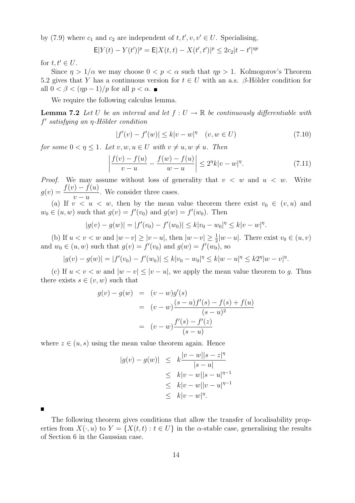by (7.9) where  $c_1$  and  $c_2$  are independent of  $t, t', v, v' \in U$ . Specialising,

$$
\mathsf{E}|Y(t) - Y(t')|^p = \mathsf{E}|X(t,t) - X(t',t')|^p \le 2c_2|t-t'|^{np}
$$

for  $t, t' \in U$ .

Since  $\eta > 1/\alpha$  we may choose  $0 < p < \alpha$  such that  $\eta p > 1$ . Kolmogorov's Theorem 5.2 gives that Y has a continuous version for  $t \in U$  with an a.s. β-Hölder condition for all  $0 < \beta < (np-1)/p$  for all  $p < \alpha$ .

We require the following calculus lemma.

**Lemma 7.2** Let U be an interval and let  $f: U \to \mathbb{R}$  be continuously differentiable with  $f'$  satisfying an  $\eta$ -Hölder condition

$$
|f'(v) - f'(w)| \le k|v - w|^{\eta} \quad (v, w \in U)
$$
\n(7.10)

for some  $0 < \eta \leq 1$ . Let  $v, w, u \in U$  with  $v \neq u, w \neq u$ . Then

$$
\left| \frac{f(v) - f(u)}{v - u} - \frac{f(w) - f(u)}{w - u} \right| \le 2^n k |v - w|^n. \tag{7.11}
$$

*Proof.* We may assume without loss of generality that  $v < w$  and  $u < w$ . Write  $g(v) = \frac{f(v) - f(u)}{h}$  $v - u$ . We consider three cases.

(a) If  $v < u < w$ , then by the mean value theorem there exist  $v_0 \in (v, u)$  and  $w_0 \in (u, w)$  such that  $g(v) = f'(v_0)$  and  $g(w) = f'(w_0)$ . Then

$$
|g(v) - g(w)| = |f'(v_0) - f'(w_0)| \le k|v_0 - w_0|^{\eta} \le k|v - w|^{\eta}.
$$

(b) If  $u < v < w$  and  $|w - v| \ge |v - u|$ , then  $|w - v| \ge \frac{1}{2}|w - u|$ . There exist  $v_0 \in (u, v)$ and  $w_0 \in (u, w)$  such that  $g(v) = f'(v_0)$  and  $g(w) = f'(w_0)$ , so

$$
|g(v) - g(w)| = |f'(v_0) - f'(w_0)| \le k|v_0 - w_0|^{\eta} \le k|w - u|^{\eta} \le k2^{\eta}|w - v|^{\eta}.
$$

(c) If  $u < v < w$  and  $|w - v| \leq |v - u|$ , we apply the mean value theorem to g. Thus there exists  $s \in (v, w)$  such that

$$
g(v) - g(w) = (v - w)g'(s)
$$
  
=  $(v - w)\frac{(s - u)f'(s) - f(s) + f(u)}{(s - u)^2}$   
=  $(v - w)\frac{f'(s) - f'(z)}{(s - u)}$ 

where  $z \in (u, s)$  using the mean value theorem again. Hence

$$
|g(v) - g(w)| \leq k \frac{|v - w||s - z|^{\eta}}{|s - u|} \leq k|v - w||s - u|^{\eta - 1} \leq k|v - w||v - u|^{\eta - 1} \leq k|v - w|^{\eta}.
$$

The following theorem gives conditions that allow the transfer of localisability properties from  $X(\cdot, u)$  to  $Y = \{X(t,t) : t \in U\}$  in the  $\alpha$ -stable case, generalising the results of Section 6 in the Gaussian case.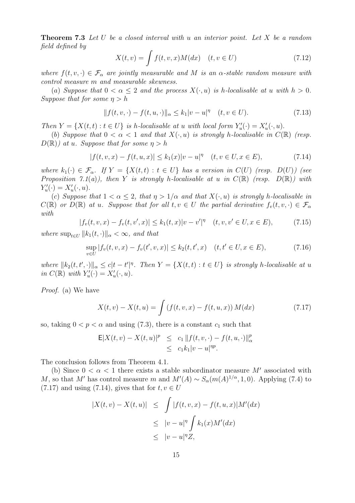**Theorem 7.3** Let U be a closed interval with u an interior point. Let X be a random field defined by

$$
X(t,v) = \int f(t,v,x)M(dx) \quad (t,v \in U)
$$
\n(7.12)

where  $f(t, v, \cdot) \in \mathcal{F}_{\alpha}$  are jointly measurable and M is an  $\alpha$ -stable random measure with control measure m and measurable skewness.

(a) Suppose that  $0 < \alpha \leq 2$  and the process  $X(\cdot, u)$  is h-localisable at u with  $h > 0$ . Suppose that for some  $\eta > h$ 

$$
|| f(t, v, \cdot) - f(t, u, \cdot)||_{\alpha} \le k_1 |v - u|^{\eta} \quad (t, v \in U). \tag{7.13}
$$

Then  $Y = \{X(t,t) : t \in U\}$  is h-localisable at u with local form  $Y'_u(\cdot) = X'_u(\cdot, u)$ .

(b) Suppose that  $0 < \alpha < 1$  and that  $X(\cdot, u)$  is strongly h-localisable in  $C(\mathbb{R})$  (resp.  $D(\mathbb{R})$  at u. Suppose that for some  $\eta > h$ 

$$
|f(t, v, x) - f(t, u, x)| \le k_1(x)|v - u|^\eta \quad (t, v \in U, x \in E),
$$
\n(7.14)

where  $k_1(\cdot) \in \mathcal{F}_{\alpha}$ . If  $Y = \{X(t,t) : t \in U\}$  has a version in  $C(U)$  (resp.  $D(U)$ ) (see Proposition 7.1(a)), then Y is strongly h-localisable at u in  $C(\mathbb{R})$  (resp.  $D(\mathbb{R})$ ) with  $Y'_u(\cdot) = X'_u(\cdot, u).$ 

(c) Suppose that  $1 < \alpha \leq 2$ , that  $\eta > 1/\alpha$  and that  $X(\cdot, u)$  is strongly h-localisable in  $C(\mathbb{R})$  or  $D(\mathbb{R})$  at u. Suppose that for all  $t, v \in U$  the partial derivative  $f_v(t, v, \cdot) \in \mathcal{F}_\alpha$ with

$$
|f_v(t, v, x) - f_v(t, v', x)| \le k_1(t, x)|v - v'|^{\eta} \quad (t, v, v' \in U, x \in E), \tag{7.15}
$$

where  $\sup_{t\in U} ||k_1(t,\cdot)||_{\alpha} < \infty$ , and that

$$
\sup_{v \in U} |f_v(t, v, x) - f_v(t', v, x)| \le k_2(t, t', x) \quad (t, t' \in U, x \in E), \tag{7.16}
$$

where  $||k_2(t, t', \cdot)||_{\alpha} \leq c|t - t'|^{\eta}$ . Then  $Y = \{X(t, t) : t \in U\}$  is strongly h-localisable at u in  $C(\mathbb{R})$  with  $Y'_u(\cdot) = X'_u(\cdot, u)$ .

Proof. (a) We have

$$
X(t, v) - X(t, u) = \int (f(t, v, x) - f(t, u, x)) M(dx)
$$
\n(7.17)

so, taking  $0 < p < \alpha$  and using (7.3), there is a constant  $c_1$  such that

$$
\mathsf{E}|X(t,v) - X(t,u)|^{p} \leq c_{1} \|f(t,v,\cdot) - f(t,u,\cdot)\|_{\alpha}^{p} \leq c_{1}k_{1}|v-u|^{np}.
$$

The conclusion follows from Theorem 4.1.

(b) Since  $0 < \alpha < 1$  there exists a stable subordinator measure M' associated with M, so that M' has control measure m and  $M'(A) \sim S_\alpha(m(A)^{1/\alpha}, 1, 0)$ . Applying (7.4) to  $(7.17)$  and using  $(7.14)$ , gives that for  $t, v \in U$ 

$$
|X(t, v) - X(t, u)| \leq \int |f(t, v, x) - f(t, u, x)| M'(dx)
$$
  
\n
$$
\leq |v - u|^{\eta} \int k_1(x) M'(dx)
$$
  
\n
$$
\leq |v - u|^{\eta} Z,
$$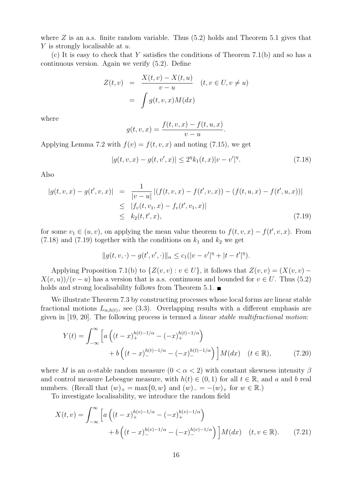where  $Z$  is an a.s. finite random variable. Thus  $(5.2)$  holds and Theorem 5.1 gives that Y is strongly localisable at u.

(c) It is easy to check that Y satisfies the conditions of Theorem 7.1(b) and so has a continuous version. Again we verify (5.2). Define

$$
Z(t, v) = \frac{X(t, v) - X(t, u)}{v - u} \quad (t, v \in U, v \neq u)
$$

$$
= \int g(t, v, x) M(dx)
$$

where

$$
g(t, v, x) = \frac{f(t, v, x) - f(t, u, x)}{v - u}.
$$

Applying Lemma 7.2 with  $f(v) = f(t, v, x)$  and noting (7.15), we get

$$
|g(t, v, x) - g(t, v', x)| \le 2^{\eta} k_1(t, x) |v - v'|^{\eta}.
$$
\n(7.18)

Also

$$
|g(t, v, x) - g(t', v, x)| = \frac{1}{|v - u|} |(f(t, v, x) - f(t', v, x)) - (f(t, u, x) - f(t', u, x))|
$$
  
\n
$$
\leq |f_v(t, v_1, x) - f_v(t', v_1, x)|
$$
  
\n
$$
\leq k_2(t, t', x),
$$
\n(7.19)

for some  $v_1 \in (u, v)$ , on applying the mean value theorem to  $f(t, v, x) - f(t', v, x)$ . From  $(7.18)$  and  $(7.19)$  together with the conditions on  $k_1$  and  $k_2$  we get

$$
||g(t, v, \cdot) - g(t', v', \cdot)||_{\alpha} \le c_1(|v - v'|^{\eta} + |t - t'|^{\eta}).
$$

Applying Proposition 7.1(b) to  $\{Z(v, v) : v \in U\}$ , it follows that  $Z(v, v) = (X(v, v) X(v, u)/(v - u)$  has a version that is a.s. continuous and bounded for  $v \in U$ . Thus (5.2) holds and strong localisability follows from Theorem 5.1.  $\blacksquare$ 

We illustrate Theorem 7.3 by constructing processes whose local forms are linear stable fractional motions  $L_{\alpha,h(t)}$ , see (3.3). Overlapping results with a different emphasis are given in [19, 20]. The following process is termed a linear stable multifractional motion:

$$
Y(t) = \int_{-\infty}^{\infty} \left[ a \left( (t-x)_+^{h(t)-1/\alpha} - (-x)_+^{h(t)-1/\alpha} \right) + b \left( (t-x)_-^{h(t)-1/\alpha} - (-x)_-^{h(t)-1/\alpha} \right) \right] M(dx) \quad (t \in \mathbb{R}), \tag{7.20}
$$

where M is an  $\alpha$ -stable random measure  $(0 < \alpha < 2)$  with constant skewness intensity  $\beta$ and control measure Lebesgue measure, with  $h(t) \in (0,1)$  for all  $t \in \mathbb{R}$ , and a and b real numbers. (Recall that  $(w)_{+} = \max\{0, w\}$  and  $(w)_{-} = -(w)_{+}$  for  $w \in \mathbb{R}$ .)

To investigate localisability, we introduce the random field

$$
X(t,v) = \int_{-\infty}^{\infty} \left[ a \left( (t-x)_+^{h(v)-1/\alpha} - (-x)_+^{h(v)-1/\alpha} \right) + b \left( (t-x)_-^{h(v)-1/\alpha} - (-x)_-^{h(v)-1/\alpha} \right) \right] M(dx) \quad (t,v \in \mathbb{R}). \tag{7.21}
$$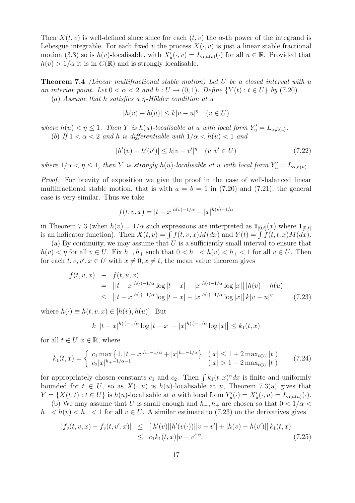Then  $X(t, v)$  is well-defined since since for each  $(t, v)$  the  $\alpha$ -th power of the integrand is Lebesgue integrable. For each fixed v the process  $X(\cdot, v)$  is just a linear stable fractional motion (3.3) so is  $h(v)$ -localisable, with  $X'_u(\cdot, v) = L_{\alpha, h(v)}(\cdot)$  for all  $u \in \mathbb{R}$ . Provided that  $h(v) > 1/\alpha$  it is in  $C(\mathbb{R})$  and is strongly localisable.

**Theorem 7.4** (Linear multifractional stable motion) Let U be a closed interval with u an interior point. Let  $0 < \alpha < 2$  and  $h: U \rightarrow (0, 1)$ . Define  $\{Y(t): t \in U\}$  by (7.20). (a) Assume that h satisfies a  $\eta$ -Hölder condition at u

 $|h(v) - h(u)| \le k|v - u|^{\eta}$   $(v \in U)$ 

where  $h(u) < \eta \leq 1$ . Then Y is  $h(u)$ -localisable at u with local form  $Y'_u = L_{\alpha, h(u)}$ . (b) If  $1 < \alpha < 2$  and h is differentiable with  $1/\alpha < h(u) < 1$  and

$$
|h'(v) - h'(v')| \le k|v - v'|^{\eta} \quad (v, v' \in U)
$$
\n(7.22)

where  $1/\alpha < \eta \leq 1$ , then Y is strongly  $h(u)$ -localisable at u with local form  $Y'_u = L_{\alpha,h(u)}$ .

Proof. For brevity of exposition we give the proof in the case of well-balanced linear multifractional stable motion, that is with  $a = b = 1$  in (7.20) and (7.21); the general case is very similar. Thus we take

$$
f(t, v, x) = |t - x|^{h(v) - 1/\alpha} - |x|^{h(v) - 1/\alpha}
$$

in Theorem 7.3 (when  $h(v) = 1/\alpha$  such expressions are interpreted as  $\mathbf{1}_{[0,t]}(x)$  where  $\mathbf{1}_{[0,t]}$ is an indicator function). Then  $X(t, v) = \int f(t, v, x)M(dx)$  and  $Y(t) = \int f(t, t, x)M(dx)$ .

(a) By continuity, we may assume that  $U$  is a sufficiently small interval to ensure that  $h(v) < \eta$  for all  $v \in U$ . Fix  $h_-, h_+$  such that  $0 < h_- < h(v) < h_+ < 1$  for all  $v \in U$ . Then for each  $t, v, v', x \in U$  with  $x \neq 0, x \neq t$ , the mean value theorem gives

$$
|f(t, v, x) - f(t, u, x)|
$$
  
= 
$$
||t - x|^{h(\cdot) - 1/\alpha} \log |t - x| - |x|^{h(\cdot) - 1/\alpha} \log |x|| |h(v) - h(u)|
$$
  

$$
\leq ||t - x|^{h(\cdot) - 1/\alpha} \log |t - x| - |x|^{h(\cdot) - 1/\alpha} \log |x|| |k|v - u|^{\eta}, \qquad (7.23)
$$

where  $h(\cdot) \equiv h(t, v, x) \in [h(v), h(u)]$ . But

$$
k||t - x|^{h(\cdot) - 1/\alpha} \log |t - x| - |x|^{h(\cdot) - 1/\alpha} \log |x|| \le k_1(t, x)
$$

for all  $t \in U, x \in \mathbb{R}$ , where

$$
k_1(t,x) = \begin{cases} c_1 \max\left\{1, |t-x|^{h_1-1/\alpha} + |x|^{h_1-1/\alpha}\right\} & (|x| \le 1+2 \max_{t \in U} |t|) \\ c_2 |x|^{h_1-1/\alpha-1} & (|x| > 1+2 \max_{t \in U} |t|) \end{cases} \tag{7.24}
$$

for appropriately chosen constants  $c_1$  and  $c_2$ . Then  $\int k_1(t, x)^\alpha dx$  is finite and uniformly bounded for  $t \in U$ , so as  $X(\cdot, u)$  is  $h(u)$ -localisable at u, Theorem 7.3(a) gives that  $Y = \{X(t,t) : t \in U\}$  is  $h(u)$ -localisable at u with local form  $Y'_u(\cdot) = X'_u(\cdot, u) = L_{\alpha, h(u)}(\cdot)$ .

(b) We may assume that U is small enough and  $h_-, h_+$  are chosen so that  $0 < 1/\alpha <$  $h_{-} < h(v) < h_{+} < 1$  for all  $v \in U$ . A similar estimate to (7.23) on the derivatives gives

$$
|f_v(t, v, x) - f_v(t, v', x)| \leq |[h'(v)||h'(v(\cdot))||v - v'| + |h(v) - h(v')|]k_1(t, x)
$$
  
\n
$$
\leq c_1 k_1(t, x)|v - v'|^{\eta},
$$
\n(7.25)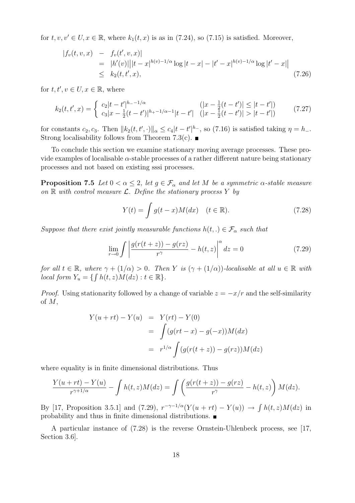for  $t, v, v' \in U, x \in \mathbb{R}$ , where  $k_1(t, x)$  is as in (7.24), so (7.15) is satisfied. Moreover,

$$
|f_v(t, v, x) - f_v(t', v, x)|
$$
  
= |h'(v)| |t - x|<sup>h(v)-1/\alpha</sup> log |t - x| - |t' - x|<sup>h(v)-1/\alpha</sup> log |t' - x| |  

$$
\leq k_2(t, t', x),
$$
 (7.26)

for  $t, t', v \in U, x \in \mathbb{R}$ , where

$$
k_2(t, t', x) = \begin{cases} c_2|t - t'|^{h_--1/\alpha} & (|x - \frac{1}{2}(t - t')| \le |t - t'|\\ c_3|x - \frac{1}{2}(t - t')|^{h_+-1/\alpha-1}|t - t'| & (|x - \frac{1}{2}(t - t')| > |t - t'|) \end{cases} \tag{7.27}
$$

for constants  $c_2, c_3$ . Then  $||k_2(t, t', \cdot)||_{\alpha} \leq c_4 |t - t'|^{h_-}$ , so (7.16) is satisfied taking  $\eta = h_-$ . Strong localisability follows from Theorem 7.3(c).  $\blacksquare$ 

To conclude this section we examine stationary moving average processes. These provide examples of localisable  $\alpha$ -stable processes of a rather different nature being stationary processes and not based on existing sssi processes.

**Proposition 7.5** Let  $0 < \alpha \leq 2$ , let  $g \in \mathcal{F}_{\alpha}$  and let M be a symmetric  $\alpha$ -stable measure on  $\mathbb R$  with control measure  $\mathcal L$ . Define the stationary process Y by

$$
Y(t) = \int g(t-x)M(dx) \quad (t \in \mathbb{R}).
$$
\n(7.28)

Suppose that there exist jointly measurable functions  $h(t,.) \in \mathcal{F}_{\alpha}$  such that

$$
\lim_{r \to 0} \int \left| \frac{g(r(t+z)) - g(rz)}{r^{\gamma}} - h(t,z) \right|^{\alpha} dz = 0 \tag{7.29}
$$

for all  $t \in \mathbb{R}$ , where  $\gamma + (1/\alpha) > 0$ . Then Y is  $(\gamma + (1/\alpha))$ -localisable at all  $u \in \mathbb{R}$  with local form  $Y_u = \{ \int h(t, z) M(dz) : t \in \mathbb{R} \}.$ 

*Proof.* Using stationarity followed by a change of variable  $z = -x/r$  and the self-similarity of M,

$$
Y(u + rt) - Y(u) = Y(rt) - Y(0)
$$
  
= 
$$
\int (g(rt - x) - g(-x))M(dx)
$$
  
= 
$$
r^{1/\alpha} \int (g(r(t + z)) - g(rz))M(dz)
$$

where equality is in finite dimensional distributions. Thus

$$
\frac{Y(u+rt)-Y(u)}{r^{\gamma+1/\alpha}}-\int h(t,z)M(dz)=\int \left(\frac{g(r(t+z))-g(rz)}{r^{\gamma}}-h(t,z)\right)M(dz).
$$

By [17, Proposition 3.5.1] and (7.29),  $r^{-\gamma-1/\alpha}(Y(u + rt) - Y(u)) \to \int h(t, z)M(dz)$  in probability and thus in finite dimensional distributions.

A particular instance of (7.28) is the reverse Ornstein-Uhlenbeck process, see [17, Section 3.6].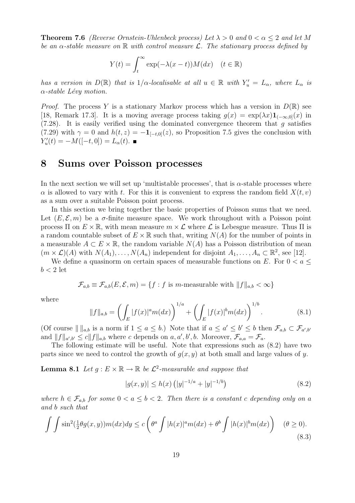**Theorem 7.6** (Reverse Ornstein-Uhlenbeck process) Let  $\lambda > 0$  and  $0 < \alpha < 2$  and let M be an  $\alpha$ -stable measure on  $\mathbb R$  with control measure  $\mathcal L$ . The stationary process defined by

$$
Y(t) = \int_t^{\infty} \exp(-\lambda(x - t)) M(dx) \quad (t \in \mathbb{R})
$$

has a version in  $D(\mathbb{R})$  that is  $1/\alpha$ -localisable at all  $u \in \mathbb{R}$  with  $Y'_u = L_\alpha$ , where  $L_\alpha$  is  $\alpha$ -stable Lévy motion.

*Proof.* The process Y is a stationary Markov process which has a version in  $D(\mathbb{R})$  see [18, Remark 17.3]. It is a moving average process taking  $g(x) = \exp(\lambda x) \mathbf{1}_{(-\infty,0]}(x)$  in (7.28). It is easily verified using the dominated convergence theorem that  $g$  satisfies (7.29) with  $\gamma = 0$  and  $h(t, z) = -1_{[-t,0]}(z)$ , so Proposition 7.5 gives the conclusion with  $Y'_u(t) = -M([-t, 0]) = L_\alpha(t).$ 

#### 8 Sums over Poisson processes

In the next section we will set up 'multistable processes', that is  $\alpha$ -stable processes where  $\alpha$  is allowed to vary with t. For this it is convenient to express the random field  $X(t, v)$ as a sum over a suitable Poisson point process.

In this section we bring together the basic properties of Poisson sums that we need. Let  $(E, \mathcal{E}, m)$  be a  $\sigma$ -finite measure space. We work throughout with a Poisson point process  $\Pi$  on  $E \times \mathbb{R}$ , with mean measure  $m \times \mathcal{L}$  where  $\mathcal{L}$  is Lebesgue measure. Thus  $\Pi$  is a random countable subset of  $E \times \mathbb{R}$  such that, writing  $N(A)$  for the number of points in a measurable  $A \subset E \times \mathbb{R}$ , the random variable  $N(A)$  has a Poisson distribution of mean  $(m \times \mathcal{L})(A)$  with  $N(A_1), \ldots, N(A_n)$  independent for disjoint  $A_1, \ldots, A_n \subset \mathbb{R}^2$ , see [12].

We define a quasinorm on certain spaces of measurable functions on E. For  $0 < a \leq$  $b < 2$  let

$$
\mathcal{F}_{a,b} \equiv \mathcal{F}_{a,b}(E,\mathcal{E},m) = \{f : f \text{ is } m\text{-measurable with } ||f||_{a,b} < \infty\}
$$

where

$$
||f||_{a,b} = \left(\int_E |f(x)|^a m(dx)\right)^{1/a} + \left(\int_E |f(x)|^b m(dx)\right)^{1/b}.
$$
\n(8.1)

(Of course  $|| ||_{a,b}$  is a norm if  $1 \le a \le b$ .) Note that if  $a \le a' \le b' \le b$  then  $\mathcal{F}_{a,b} \subset \mathcal{F}_{a',b'}$ and  $||f||_{a',b'} \le c||f||_{a,b}$  where c depends on  $a, a', b', b$ . Moreover,  $\mathcal{F}_{a,a} = \mathcal{F}_{a}$ .

The following estimate will be useful. Note that expressions such as (8.2) have two parts since we need to control the growth of  $q(x, y)$  at both small and large values of y.

**Lemma 8.1** Let  $g : E \times \mathbb{R} \to \mathbb{R}$  be  $\mathcal{L}^2$ -measurable and suppose that

$$
|g(x,y)| \le h(x) \left( |y|^{-1/a} + |y|^{-1/b} \right) \tag{8.2}
$$

where  $h \in \mathcal{F}_{a,b}$  for some  $0 < a \leq b < 2$ . Then there is a constant c depending only on a and b such that

$$
\int \int \sin^2(\frac{1}{2}\theta g(x,y))m(dx)dy \le c \left(\theta^a \int |h(x)|^a m(dx) + \theta^b \int |h(x)|^b m(dx)\right) \quad (\theta \ge 0).
$$
\n(8.3)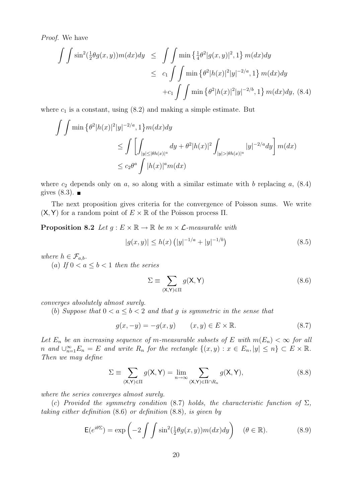Proof. We have

$$
\iint \sin^2(\frac{1}{2}\theta g(x, y))m(dx)dy \leq \iint \min\left\{\frac{1}{4}\theta^2|g(x, y)|^2, 1\right\}m(dx)dy
$$
  

$$
\leq c_1 \iint \min\left\{\theta^2|h(x)|^2|y|^{-2/a}, 1\right\}m(dx)dy
$$
  
+
$$
+c_1 \iint \min\left\{\theta^2|h(x)|^2|y|^{-2/b}, 1\right\}m(dx)dy, (8.4)
$$

where  $c_1$  is a constant, using  $(8.2)$  and making a simple estimate. But

$$
\iint \min \left\{ \theta^2 |h(x)|^2 |y|^{-2/a}, 1 \right\} m(dx) dy
$$
  
\n
$$
\leq \iint \left[ \int_{|y| \leq |\theta h(x)|^a} dy + \theta^2 |h(x)|^2 \int_{|y| > |\theta h(x)|^a} |y|^{-2/a} dy \right] m(dx)
$$
  
\n
$$
\leq c_2 \theta^a \int |h(x)|^a m(dx)
$$

where  $c_2$  depends only on a, so along with a similar estimate with b replacing a,  $(8.4)$ gives  $(8.3)$ . ■

The next proposition gives criteria for the convergence of Poisson sums. We write  $(X, Y)$  for a random point of  $E \times \mathbb{R}$  of the Poisson process  $\Pi$ .

**Proposition 8.2** Let  $q : E \times \mathbb{R} \to \mathbb{R}$  be  $m \times \mathcal{L}$ -measurable with

$$
|g(x,y)| \le h(x) \left( |y|^{-1/a} + |y|^{-1/b} \right) \tag{8.5}
$$

where  $h \in \mathcal{F}_{a,b}$ .

(a) If  $0 < a \leq b < 1$  then the series

$$
\Sigma \equiv \sum_{(\mathsf{X}, \mathsf{Y}) \in \Pi} g(\mathsf{X}, \mathsf{Y}) \tag{8.6}
$$

converges absolutely almost surely.

(b) Suppose that  $0 < a \leq b < 2$  and that q is symmetric in the sense that

$$
g(x, -y) = -g(x, y) \qquad (x, y) \in E \times \mathbb{R}.
$$
 (8.7)

Let  $E_n$  be an increasing sequence of m-measurable subsets of E with  $m(E_n) < \infty$  for all n and  $\bigcup_{n=1}^{\infty} E_n = E$  and write  $R_n$  for the rectangle  $\{(x, y) : x \in E_n, |y| \leq n\} \subset E \times \mathbb{R}$ . Then we may define

$$
\Sigma \equiv \sum_{(\mathsf{X},\mathsf{Y})\in\Pi} g(\mathsf{X},\mathsf{Y}) = \lim_{n\to\infty} \sum_{(\mathsf{X},\mathsf{Y})\in\Pi\cap R_n} g(\mathsf{X},\mathsf{Y}),\tag{8.8}
$$

where the series converges almost surely.

(c) Provided the symmetry condition (8.7) holds, the characteristic function of  $\Sigma$ , taking either definition (8.6) or definition (8.8), is given by

$$
\mathsf{E}(e^{i\theta\Sigma}) = \exp\left(-2\int\int\sin^2(\frac{1}{2}\theta g(x,y))m(dx)dy\right) \quad (\theta \in \mathbb{R}).\tag{8.9}
$$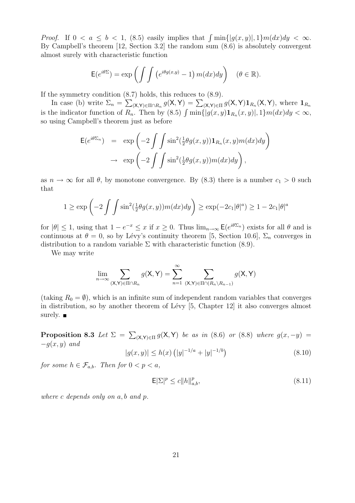*Proof.* If  $0 < a \leq b < 1$ , (8.5) easily implies that  $\int \min\{|g(x,y)|,1\} m(dx) dy < \infty$ . By Campbell's theorem [12, Section 3.2] the random sum (8.6) is absolutely convergent almost surely with characteristic function

$$
\mathsf{E}(e^{i\theta\Sigma}) = \exp\left(\int\int \left(e^{i\theta g(x,y)} - 1\right) m(dx) dy\right) \quad (\theta \in \mathbb{R}).
$$

If the symmetry condition (8.7) holds, this reduces to (8.9).

In case (b) write  $\Sigma_n = \sum_{(\mathsf{X},\mathsf{Y})\in\Pi\cap R_n} g(\mathsf{X},\mathsf{Y}) = \sum_{(\mathsf{X},\mathsf{Y})\in\Pi} g(\mathsf{X},\mathsf{Y}) \mathbf{1}_{R_n}(\mathsf{X},\mathsf{Y}),$  where  $\mathbf{1}_{R_n}$ is the indicator function of  $R_n$ . Then by (8.5)  $\int \min\{|g(x,y)1_{R_n}(x,y)|,1\}m(dx)dy < \infty$ , so using Campbell's theorem just as before

$$
\mathsf{E}(e^{i\theta\Sigma_n}) = \exp\left(-2\int\int\sin^2(\frac{1}{2}\theta g(x,y))\mathbf{1}_{R_n}(x,y)m(dx)dy\right) \n\to \exp\left(-2\int\int\sin^2(\frac{1}{2}\theta g(x,y))m(dx)dy\right),
$$

as  $n \to \infty$  for all  $\theta$ , by monotone convergence. By (8.3) there is a number  $c_1 > 0$  such that

$$
1 \ge \exp\left(-2\int\int \sin^2(\frac{1}{2}\theta g(x,y))m(dx)dy\right) \ge \exp(-2c_1|\theta|^a) \ge 1 - 2c_1|\theta|^a
$$

for  $|\theta| \leq 1$ , using that  $1 - e^{-x} \leq x$  if  $x \geq 0$ . Thus  $\lim_{n \to \infty} E(e^{i\theta \Sigma_n})$  exists for all  $\theta$  and is continuous at  $\theta = 0$ , so by Lévy's continuity theorem [5, Section 10.6],  $\Sigma_n$  converges in distribution to a random variable  $\Sigma$  with characteristic function (8.9).

We may write

$$
\lim_{n\to\infty}\sum_{(\mathsf{X},\mathsf{Y})\in\Pi\cap R_n}g(\mathsf{X},\mathsf{Y})=\sum_{n=1}^{\infty}\sum_{(\mathsf{X},\mathsf{Y})\in\Pi\cap (R_n\setminus R_{n-1})}g(\mathsf{X},\mathsf{Y})
$$

(taking  $R_0 = \emptyset$ ), which is an infinite sum of independent random variables that converges in distribution, so by another theorem of Lévy [5, Chapter 12] it also converges almost surely.  $\blacksquare$ 

**Proposition 8.3** Let  $\Sigma = \sum_{(\mathsf{X},\mathsf{Y})\in\Pi} g(\mathsf{X},\mathsf{Y})$  be as in (8.6) or (8.8) where  $g(x,-y) =$  $-g(x, y)$  and

$$
|g(x,y)| \le h(x) \left( |y|^{-1/a} + |y|^{-1/b} \right) \tag{8.10}
$$

for some  $h \in \mathcal{F}_{a,b}$ . Then for  $0 < p < a$ ,

$$
\mathsf{E}|\Sigma|^p \le c \|h\|_{a,b}^p,\tag{8.11}
$$

where c depends only on a, b and p.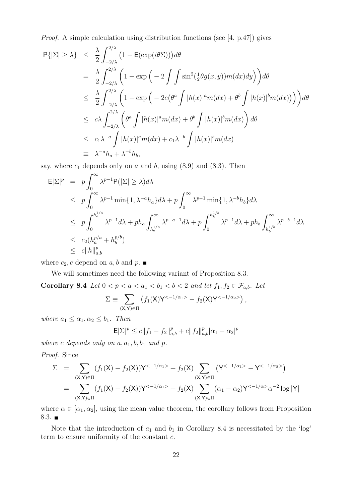Proof. A simple calculation using distribution functions (see [4, p.47]) gives

$$
P\{|\Sigma| \ge \lambda\} \le \frac{\lambda}{2} \int_{-2/\lambda}^{2/\lambda} \left(1 - \mathbb{E}(\exp(i\theta\Sigma))\right) d\theta
$$
  
\n
$$
= \frac{\lambda}{2} \int_{-2/\lambda}^{2/\lambda} \left(1 - \exp\left(-2 \int \int \sin^2(\frac{1}{2}\theta g(x, y)) m(dx) dy\right)\right) d\theta
$$
  
\n
$$
\le \frac{\lambda}{2} \int_{-2/\lambda}^{2/\lambda} \left(1 - \exp\left(-2c(\theta^a \int |h(x)|^a m(dx) + \theta^b \int |h(x)|^b m(dx))\right)\right) d\theta
$$
  
\n
$$
\le c\lambda \int_{-2/\lambda}^{2/\lambda} \left(\theta^a \int |h(x)|^a m(dx) + \theta^b \int |h(x)|^b m(dx)\right) d\theta
$$
  
\n
$$
\le c_1 \lambda^{-a} \int |h(x)|^a m(dx) + c_1 \lambda^{-b} \int |h(x)|^b m(dx)
$$
  
\n
$$
\equiv \lambda^{-a} h_a + \lambda^{-b} h_b,
$$

say, where  $c_1$  depends only on  $a$  and  $b$ , using  $(8.9)$  and  $(8.3)$ . Then

$$
\begin{split}\n\mathsf{E}|\Sigma|^{p} &= p \int_{0}^{\infty} \lambda^{p-1} \mathsf{P}(|\Sigma| \geq \lambda) d\lambda \\
&\leq p \int_{0}^{\infty} \lambda^{p-1} \min\{1, \lambda^{-a} h_{a}\} d\lambda + p \int_{0}^{\infty} \lambda^{p-1} \min\{1, \lambda^{-b} h_{b}\} d\lambda \\
&\leq p \int_{0}^{h_{a}^{1/a}} \lambda^{p-1} d\lambda + p h_{a} \int_{h_{a}^{1/a}}^{\infty} \lambda^{p-a-1} d\lambda + p \int_{0}^{h_{b}^{1/b}} \lambda^{p-1} d\lambda + p h_{b} \int_{h_{b}^{1/b}}^{\infty} \lambda^{p-b-1} d\lambda \\
&\leq c_{2} (h_{a}^{p/a} + h_{b}^{p/b}) \\
&\leq c ||h||_{a,b}^{p}\n\end{split}
$$

where  $c_2$ , c depend on a, b and p.  $\blacksquare$ 

We will sometimes need the following variant of Proposition 8.3.

Corollary 8.4 Let  $0 < p < a < a_1 < b_1 < b < 2$  and let  $f_1, f_2 \in \mathcal{F}_{a,b}$ . Let

$$
\Sigma \equiv \sum_{(\mathsf{X},\mathsf{Y})\in\Pi} \left( f_1(\mathsf{X})\mathsf{Y}^{<-1/\alpha_1>} - f_2(\mathsf{X})\mathsf{Y}^{<-1/\alpha_2>} \right),
$$

where  $a_1 \leq \alpha_1, \alpha_2 \leq b_1$ . Then

$$
\mathsf{E}|\Sigma|^p \le c||f_1 - f_2||_{a,b}^p + c||f_2||_{a,b}^p|\alpha_1 - \alpha_2|^p
$$

where c depends only on  $a, a_1, b, b_1$  and p.

Proof. Since

$$
\Sigma = \sum_{\substack{(X,Y)\in \Pi}} (f_1(X) - f_2(X))Y^{<-1/\alpha_1>} + f_2(X) \sum_{\substack{(X,Y)\in \Pi}} (Y^{<-1/\alpha_1>} - Y^{<-1/\alpha_2}>)
$$
  
= 
$$
\sum_{\substack{(X,Y)\in \Pi}} (f_1(X) - f_2(X))Y^{<-1/\alpha_1>} + f_2(X) \sum_{\substack{(X,Y)\in \Pi}} (\alpha_1 - \alpha_2)Y^{<-1/\alpha>} \alpha^{-2} \log |Y|
$$

where  $\alpha \in [\alpha_1, \alpha_2]$ , using the mean value theorem, the corollary follows from Proposition 8.3. ■

Note that the introduction of  $a_1$  and  $b_1$  in Corollary 8.4 is necessitated by the 'log' term to ensure uniformity of the constant c.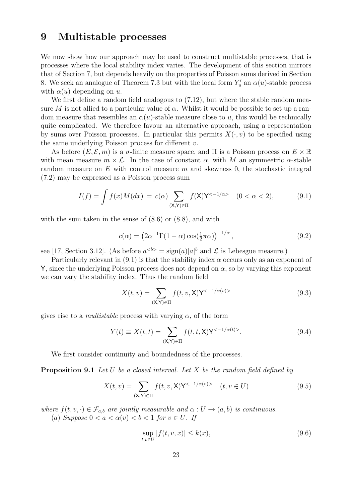#### 9 Multistable processes

We now show how our approach may be used to construct multistable processes, that is processes where the local stability index varies. The development of this section mirrors that of Section 7, but depends heavily on the properties of Poisson sums derived in Section 8. We seek an analogue of Theorem 7.3 but with the local form  $Y'_u$  an  $\alpha(u)$ -stable process with  $\alpha(u)$  depending on u.

We first define a random field analogous to  $(7.12)$ , but where the stable random measure M is not allied to a particular value of  $\alpha$ . Whilst it would be possible to set up a random measure that resembles an  $\alpha(u)$ -stable measure close to u, this would be technically quite complicated. We therefore favour an alternative approach, using a representation by sums over Poisson processes. In particular this permits  $X(\cdot, v)$  to be specified using the same underlying Poisson process for different v.

As before  $(E, \mathcal{E}, m)$  is a  $\sigma$ -finite measure space, and  $\Pi$  is a Poisson process on  $E \times \mathbb{R}$ with mean measure  $m \times \mathcal{L}$ . In the case of constant  $\alpha$ , with M an symmetric  $\alpha$ -stable random measure on  $E$  with control measure m and skewness 0, the stochastic integral (7.2) may be expressed as a Poisson process sum

$$
I(f) = \int f(x)M(dx) = c(\alpha) \sum_{(\mathsf{X}, \mathsf{Y}) \in \Pi} f(\mathsf{X})\mathsf{Y}^{<-1/\alpha>} \quad (0 < \alpha < 2), \tag{9.1}
$$

with the sum taken in the sense of  $(8.6)$  or  $(8.8)$ , and with

$$
c(\alpha) = \left(2\alpha^{-1}\Gamma(1-\alpha)\cos(\frac{1}{2}\pi\alpha)\right)^{-1/\alpha},\tag{9.2}
$$

see [17, Section 3.12]. (As before  $a^{**} = \text{sign}(a)|a|^{b}**$  and  $\mathcal{L}$  is Lebesgue measure.)

Particularly relevant in  $(9.1)$  is that the stability index  $\alpha$  occurs only as an exponent of Y, since the underlying Poisson process does not depend on  $\alpha$ , so by varying this exponent we can vary the stability index. Thus the random field

$$
X(t,v) = \sum_{(\mathsf{X},\mathsf{Y}) \in \Pi} f(t,v,\mathsf{X}) \mathsf{Y}^{<-1/\alpha(v)>}
$$
\n(9.3)

gives rise to a *multistable* process with varying  $\alpha$ , of the form

$$
Y(t) \equiv X(t,t) = \sum_{(\mathsf{X},\mathsf{Y}) \in \Pi} f(t,t,\mathsf{X}) \mathsf{Y}^{<-1/\alpha(t)>}.
$$
\n(9.4)

We first consider continuity and boundedness of the processes.

**Proposition 9.1** Let U be a closed interval. Let X be the random field defined by

$$
X(t,v) = \sum_{(\mathsf{X},\mathsf{Y}) \in \Pi} f(t,v,\mathsf{X}) \mathsf{Y}^{<-1/\alpha(v)>} \quad (t,v \in U)
$$
\n(9.5)

where  $f(t, v, \cdot) \in \mathcal{F}_{a,b}$  are jointly measurable and  $\alpha : U \to (a, b)$  is continuous.

(a) Suppose  $0 < a < \alpha(v) < b < 1$  for  $v \in U$ . If

$$
\sup_{t,v \in U} |f(t,v,x)| \le k(x),\tag{9.6}
$$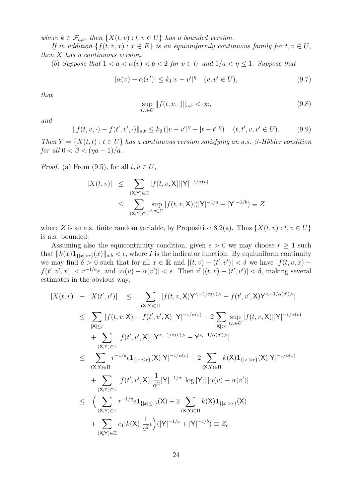where  $k \in \mathcal{F}_{a,b}$ , then  $\{X(t,v): t, v \in U\}$  has a bounded version.

If in addition  $\{f(t, v, x) : x \in E\}$  is an equiuniformly continuous family for  $t, v \in U$ , then X has a continuous version.

(b) Suppose that  $1 < a < \alpha(v) < b < 2$  for  $v \in U$  and  $1/a < \eta < 1$ . Suppose that

$$
|\alpha(v) - \alpha(v')| \le k_1 |v - v'|^{\eta} \quad (v, v' \in U),
$$
\n(9.7)

that

$$
\sup_{t,v \in U} ||f(t,v,\cdot)||_{a,b} < \infty,
$$
\n(9.8)

and

$$
|| f(t, v, \cdot) - f(t', v', \cdot)||_{a,b} \le k_2 (|v - v'|^{\eta} + |t - t'|^{\eta}) \quad (t, t', v, v' \in U). \tag{9.9}
$$

Then  $Y = \{X(t,t): t \in U\}$  has a continuous version satisfying an a.s. β-Hölder condition for all  $0 < \beta < (\eta a - 1)/a$ .

*Proof.* (a) From (9.5), for all  $t, v \in U$ ,

$$
|X(t,v)| \leq \sum_{\substack{(\mathbf{X}, \mathbf{Y}) \in \Pi \\ (\mathbf{X}, \mathbf{Y}) \in \Pi}} |f(t,v,\mathbf{X})||\mathbf{Y}|^{-1/\alpha(v)}
$$
  

$$
\leq \sum_{(\mathbf{X}, \mathbf{Y}) \in \Pi} \sup_{t,v \in U} |f(t,v,\mathbf{X})|(|\mathbf{Y}|^{-1/a} + |\mathbf{Y}|^{-1/b}) \equiv Z
$$

where Z is an a.s. finite random variable, by Proposition 8.2(a). Thus  $\{X(t, v) : t, v \in U\}$ is a.s. bounded.

Assuming also the equicontinuity condition, given  $\epsilon > 0$  we may choose  $r \geq 1$  such that  $||k(x)1_{\{|x|>r\}}(x)||_{a,b} < \epsilon$ , where I is the indicator function. By equiuniform continuity we may find  $\delta > 0$  such that for all  $x \in \mathbb{R}$  and  $|(t, v) - (t', v')| < \delta$  we have  $|f(t, v, x) |f(t',v',x)| < r^{-1/a}\epsilon$ , and  $|\alpha(v) - \alpha(v')| < \epsilon$ . Then if  $|(t,v) - (t',v')| < \delta$ , making several estimates in the obvious way,

$$
|X(t, v) - X(t', v')| \leq \sum_{(X,Y) \in \Pi} |f(t, v, X)Y^{<-1/\alpha(v)} - f(t', v', X)Y^{<-1/\alpha(v')>}|
$$
  
\n
$$
\leq \sum_{|X| \leq r} |f(t, v, X) - f(t', v', X)||Y|^{-1/\alpha(v)} + 2 \sum_{|X| > r} \sup_{t, v \in U} |f(t, v, X)||Y|^{-1/\alpha(v)}
$$
  
\n
$$
+ \sum_{(X,Y) \in \Pi} |f(t', v', X)||Y^{<-1/\alpha(v)} - Y^{<-1/\alpha(v')>}|
$$
  
\n
$$
\leq \sum_{(X,Y) \in \Pi} r^{-1/\alpha} \epsilon \mathbf{1}_{\{|x| \leq r\}}(X)|Y|^{-1/\alpha(v)} + 2 \sum_{(X,Y) \in \Pi} k(X)\mathbf{1}_{\{|x| > r\}}(X)|Y|^{-1/\alpha(v)}
$$
  
\n
$$
+ \sum_{(X,Y) \in \Pi} |f(t', v', X)| \frac{1}{\alpha^2} |Y|^{-1/\alpha} |\log |Y|| |\alpha(v) - \alpha(v')|
$$
  
\n
$$
\leq \left( \sum_{(X,Y) \in \Pi} r^{-1/\alpha} \epsilon \mathbf{1}_{\{|x| \leq r\}}(X) + 2 \sum_{(X,Y) \in \Pi} k(X)\mathbf{1}_{\{|x| > r\}}(X)
$$
  
\n
$$
+ \sum_{(X,Y) \in \Pi} c_1 |k(X)| \frac{1}{\alpha^2} \epsilon \right) (|Y|^{-1/\alpha} + |Y|^{-1/\delta}) \equiv Z_{\epsilon}
$$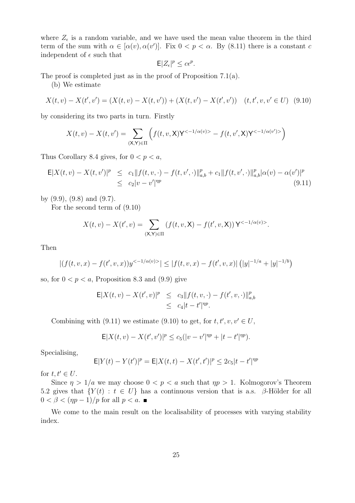where  $Z_{\epsilon}$  is a random variable, and we have used the mean value theorem in the third term of the sum with  $\alpha \in [\alpha(v), \alpha(v')]$ . Fix  $0 < p < \alpha$ . By (8.11) there is a constant c independent of  $\epsilon$  such that

$$
\mathsf{E}|Z_{\epsilon}|^p \le c\epsilon^p.
$$

The proof is completed just as in the proof of Proposition 7.1(a).

(b) We estimate

$$
X(t, v) - X(t', v') = (X(t, v) - X(t, v')) + (X(t, v') - X(t', v')) \quad (t, t', v, v' \in U) \tag{9.10}
$$

by considering its two parts in turn. Firstly

$$
X(t,v) - X(t,v') = \sum_{(\mathsf{X},\mathsf{Y})\in\Pi} \left( f(t,v,\mathsf{X})\mathsf{Y}^{<-1/\alpha(v)>} - f(t,v',\mathsf{X})\mathsf{Y}^{<-1/\alpha(v')>} \right)
$$

Thus Corollary 8.4 gives, for  $0 < p < a$ ,

$$
\mathsf{E}|X(t,v) - X(t,v')|^p \leq c_1 \|f(t,v,\cdot) - f(t,v',\cdot)\|_{a,b}^p + c_1 \|f(t,v',\cdot)\|_{a,b}^p |\alpha(v) - \alpha(v')|^p
$$
  
 
$$
\leq c_2 |v - v'|^{np}
$$
 (9.11)

by  $(9.9)$ ,  $(9.8)$  and  $(9.7)$ .

For the second term of (9.10)

$$
X(t, v) - X(t', v) = \sum_{(\mathsf{X}, \mathsf{Y}) \in \Pi} (f(t, v, \mathsf{X}) - f(t', v, \mathsf{X})) \mathsf{Y}^{< -1/\alpha(v) > }.
$$

Then

$$
|(f(t,v,x) - f(t',v,x))y^{(-1/\alpha(v))}| \le |f(t,v,x) - f(t',v,x)| (|y|^{-1/a} + |y|^{-1/b})
$$

so, for  $0 < p < a$ , Proposition 8.3 and (9.9) give

$$
\mathsf{E}|X(t,v) - X(t',v)|^{p} \leq c_{3}||f(t,v,\cdot) - f(t',v,\cdot)||_{a,b}^{p}
$$
  
 
$$
\leq c_{4}|t-t'|^{np}.
$$

Combining with (9.11) we estimate (9.10) to get, for  $t, t', v, v' \in U$ ,

$$
\mathsf{E}|X(t,v) - X(t',v')|^p \le c_5(|v-v'|^{np} + |t-t'|^{np}).
$$

Specialising,

$$
\mathsf{E} |Y(t) - Y(t')|^p = \mathsf{E} |X(t,t) - X(t',t')|^p \leq 2c_5|t-t'|^{\eta p}
$$

for  $t, t' \in U$ .

Since  $\eta > 1/a$  we may choose  $0 < p < a$  such that  $\eta p > 1$ . Kolmogorov's Theorem 5.2 gives that  $\{Y(t): t \in U\}$  has a continuous version that is a.s. β-Hölder for all  $0 < \beta < (np-1)/p$  for all  $p < a$ .

We come to the main result on the localisability of processes with varying stability index.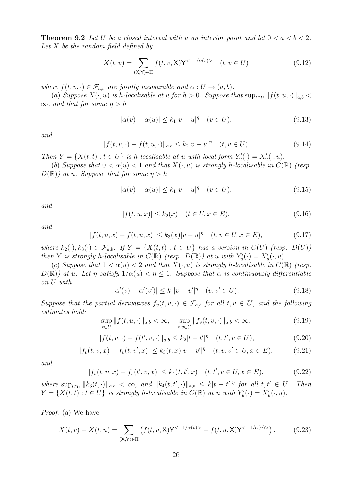**Theorem 9.2** Let U be a closed interval with u an interior point and let  $0 < a < b < 2$ . Let  $X$  be the random field defined by

$$
X(t,v) = \sum_{(\mathsf{X},\mathsf{Y})\in\Pi} f(t,v,\mathsf{X})\mathsf{Y}^{<-1/\alpha(v)>} \quad (t,v\in U)
$$
\n(9.12)

where  $f(t, v, \cdot) \in \mathcal{F}_{a,b}$  are jointly measurable and  $\alpha : U \to (a, b)$ .

(a) Suppose  $X(\cdot, u)$  is h-localisable at u for  $h > 0$ . Suppose that  $\sup_{t \in U} ||f(t, u, \cdot)||_{a,b}$  $\infty$ , and that for some  $\eta > h$ 

$$
|\alpha(v) - \alpha(u)| \le k_1 |v - u|^\eta \quad (v \in U),\tag{9.13}
$$

and

$$
|| f(t, v, \cdot) - f(t, u, \cdot)||_{a,b} \le k_2 |v - u|^\eta \quad (t, v \in U). \tag{9.14}
$$

Then  $Y = \{X(t,t) : t \in U\}$  is h-localisable at u with local form  $Y'_u(\cdot) = X'_u(\cdot, u)$ .

(b) Suppose that  $0 < \alpha(u) < 1$  and that  $X(\cdot, u)$  is strongly h-localisable in  $C(\mathbb{R})$  (resp.  $D(\mathbb{R})$  at u. Suppose that for some  $\eta > h$ 

$$
|\alpha(v) - \alpha(u)| \le k_1 |v - u|^\eta \quad (v \in U),\tag{9.15}
$$

and

$$
|f(t, u, x)| \le k_2(x) \quad (t \in U, x \in E), \tag{9.16}
$$

and

$$
|f(t, v, x) - f(t, u, x)| \le k_3(x)|v - u|^\eta \quad (t, v \in U, x \in E),
$$
\n(9.17)

where  $k_2(\cdot), k_3(\cdot) \in \mathcal{F}_{a,b}$ . If  $Y = \{X(t,t) : t \in U\}$  has a version in  $C(U)$  (resp.  $D(U)$ ) then Y is strongly h-localisable in  $C(\mathbb{R})$  (resp.  $D(\mathbb{R})$ ) at u with  $Y'_u(\cdot) = X'_u(\cdot, u)$ .

(c) Suppose that  $1 < \alpha(u) < 2$  and that  $X(\cdot, u)$  is strongly h-localisable in  $C(\mathbb{R})$  (resp.  $D(\mathbb{R})$  at u. Let  $\eta$  satisfy  $1/\alpha(u) < \eta \leq 1$ . Suppose that  $\alpha$  is continuously differentiable on U with

$$
|\alpha'(v) - \alpha'(v')| \le k_1 |v - v'|^{\eta} \quad (v, v' \in U). \tag{9.18}
$$

Suppose that the partial derivatives  $f_v(t, v, \cdot) \in \mathcal{F}_{a,b}$  for all  $t, v \in U$ , and the following estimates hold:

$$
\sup_{t \in U} ||f(t, u, \cdot)||_{a,b} < \infty, \quad \sup_{t, v \in U} ||f_v(t, v, \cdot)||_{a,b} < \infty,
$$
\n(9.19)

$$
|| f(t, v, \cdot) - f(t', v, \cdot)||_{a,b} \le k_2 |t - t'|^{\eta} \quad (t, t', v \in U),
$$
\n(9.20)

$$
|f_v(t, v, x) - f_v(t, v', x)| \le k_3(t, x)|v - v'|^{\eta} \quad (t, v, v' \in U, x \in E), \tag{9.21}
$$

and

$$
|f_v(t, v, x) - f_v(t', v, x)| \le k_4(t, t', x) \quad (t, t', v \in U, x \in E),
$$
\n(9.22)

where  $\sup_{t\in U} ||k_3(t,\cdot)||_{a,b} < \infty$ , and  $||k_4(t,t',\cdot)||_{a,b} \leq k|t-t'|^{\eta}$  for all  $t,t' \in U$ . Then  $Y = \{X(t,t) : t \in U\}$  is strongly h-localisable in  $C(\mathbb{R})$  at u with  $Y'_u(\cdot) = X'_u(\cdot, u)$ .

Proof. (a) We have

$$
X(t,v) - X(t,u) = \sum_{(\mathsf{X},\mathsf{Y}) \in \Pi} \left( f(t,v,\mathsf{X}) \mathsf{Y}^{<-1/\alpha(v)>} - f(t,u,\mathsf{X}) \mathsf{Y}^{<-1/\alpha(u)>} \right). \tag{9.23}
$$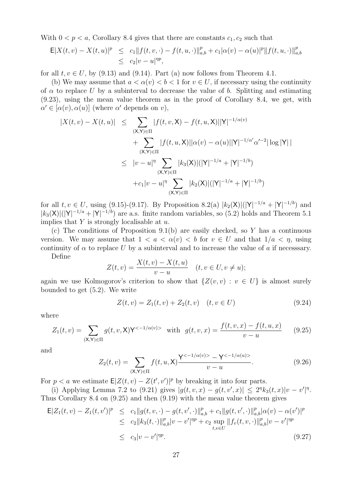With  $0 < p < a$ , Corollary 8.4 gives that there are constants  $c_1, c_2$  such that

$$
\mathsf{E}|X(t,v) - X(t,u)|^p \leq c_1 \|f(t,v,\cdot) - f(t,u,\cdot)\|_{a,b}^p + c_1 |\alpha(v) - \alpha(u)|^p \|f(t,u,\cdot)\|_{a,b}^p
$$
  

$$
\leq c_2 |v-u|^{np},
$$

for all  $t, v \in U$ , by (9.13) and (9.14). Part (a) now follows from Theorem 4.1.

(b) We may assume that  $a < \alpha(v) < b < 1$  for  $v \in U$ , if necessary using the continuity of  $\alpha$  to replace U by a subinterval to decrease the value of b. Splitting and estimating (9.23), using the mean value theorem as in the proof of Corollary 8.4, we get, with  $\alpha' \in [\alpha(v), \alpha(u)]$  (where  $\alpha'$  depends on v),

$$
|X(t, v) - X(t, u)| \leq \sum_{\substack{(X, Y) \in \Pi \\ (\mathbf{X}, Y) \in \Pi}} |f(t, v, X) - f(t, u, X)||Y|^{-1/\alpha(v)} + \sum_{\substack{(X, Y) \in \Pi \\ (\mathbf{X}, Y) \in \Pi}} |f(t, u, X)||\alpha(v) - \alpha(u)||Y|^{-1/\alpha'}\alpha'^{-2}|\log|Y|| + \sum_{\substack{(X, Y) \in \Pi \\ (\mathbf{X}, Y) \in \Pi}} |k_3(X)|(|Y|^{-1/a} + |Y|^{-1/b}) + c_1|v - u|^{\eta} \sum_{\substack{(X, Y) \in \Pi}} |k_2(X)|(|Y|^{-1/a} + |Y|^{-1/b})
$$

for all  $t, v \in U$ , using (9.15)-(9.17). By Proposition 8.2(a)  $|k_2(\mathsf{X})|(|\mathsf{Y}|^{-1/a} + |\mathsf{Y}|^{-1/b})$  and  $|k_3(\mathsf{X})|(|\mathsf{Y}|^{-1/a} + |\mathsf{Y}|^{-1/b})$  are a.s. finite random variables, so (5.2) holds and Theorem 5.1 implies that  $Y$  is strongly localisable at  $u$ .

(c) The conditions of Proposition 9.1(b) are easily checked, so Y has a continuous version. We may assume that  $1 < a < \alpha(v) < b$  for  $v \in U$  and that  $1/a < \eta$ , using continuity of  $\alpha$  to replace U by a subinterval and to increase the value of a if necessary.

Define

$$
Z(t, v) = \frac{X(t, v) - X(t, u)}{v - u} \quad (t, v \in U, v \neq u);
$$

again we use Kolmogorov's criterion to show that  $\{Z(v, v) : v \in U\}$  is almost surely bounded to get (5.2). We write

$$
Z(t, v) = Z_1(t, v) + Z_2(t, v) \quad (t, v \in U)
$$
\n(9.24)

where

$$
Z_1(t,v) = \sum_{(\mathsf{X},\mathsf{Y}) \in \Pi} g(t,v,\mathsf{X}) \mathsf{Y}^{<-1/\alpha(v)>} \text{ with } g(t,v,x) = \frac{f(t,v,x) - f(t,u,x)}{v-u} \qquad (9.25)
$$

and

$$
Z_2(t, v) = \sum_{(\mathsf{X}, \mathsf{Y}) \in \Pi} f(t, u, \mathsf{X}) \frac{\mathsf{Y}^{< -1/\alpha(v) > -\mathsf{Y}^{< -1/\alpha(u) >}}{v - u}.\tag{9.26}
$$

For  $p < a$  we estimate  $E|Z(t, v) - Z(t', v')|^p$  by breaking it into four parts.

(i) Applying Lemma 7.2 to (9.21) gives  $|g(t, v, x) - g(t, v', x)| \leq 2^{\eta} k_3(t, x) |v - v'|^{\eta}$ . Thus Corollary 8.4 on (9.25) and then (9.19) with the mean value theorem gives

$$
\mathsf{E}|Z_1(t,v) - Z_1(t,v')|^p \leq c_1 \|g(t,v,\cdot) - g(t,v',\cdot)\|_{a,b}^p + c_1 \|g(t,v',\cdot)\|_{a,b}^p |\alpha(v) - \alpha(v')|^p
$$
  
\n
$$
\leq c_2 \|k_3(t,\cdot)\|_{a,b}^p |v - v'|^{qp} + c_2 \sup_{t,v \in U} \|f_v(t,v,\cdot)\|_{a,b}^p |v - v'|^{qp}
$$
  
\n
$$
\leq c_3 |v - v'|^{qp}.
$$
\n(9.27)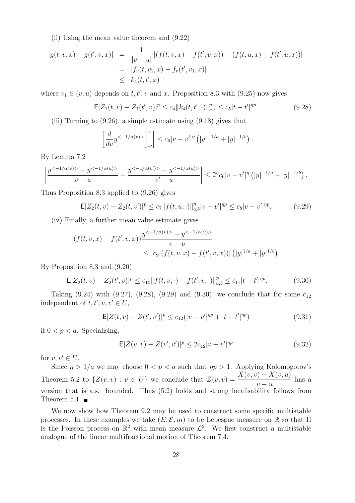(ii) Using the mean value theorem and (9.22)

$$
|g(t, v, x) - g(t', v, x)| = \frac{1}{|v - u|} |(f(t, v, x) - f(t', v, x)) - (f(t, u, x) - f(t', u, x))|
$$
  

$$
= |f_v(t, v_1, x) - f_v(t', v_1, x)|
$$
  

$$
\leq k_4(t, t', x)
$$

where  $v_1 \in (v, u)$  depends on  $t, t', v$  and x. Proposition 8.3 with (9.25) now gives

$$
\mathsf{E}|Z_1(t,v) - Z_1(t',v)|^p \le c_4 \|k_4(t,t',\cdot)\|_{a,b}^p \le c_5 |t-t'|^{np}.\tag{9.28}
$$

(iii) Turning to (9.26), a simple estimate using (9.18) gives that

$$
\left| \left[ \frac{d}{dv} y^{<-1/\alpha(v)>} \right]_{v'}^v \right| \leq c_6 |v-v'|^{\eta} \left( |y|^{-1/a} + |y|^{-1/b} \right).
$$

By Lemma 7.2

$$
\left|\frac{y^{<-1/\alpha(v)>}-y^{<-1/\alpha(u)>}}{v-u}-\frac{y^{<-1/\alpha(v')>-}y^{<-1/\alpha(u)>}}{v'-u}\right|\leq 2^{\eta}c_6|v-v'|^{\eta}\left(|y|^{-1/a}+|y|^{-1/b}\right).
$$

Thus Proposition 8.3 applied to (9.26) gives

$$
\mathsf{E}|Z_2(t,v) - Z_2(t,v')|^p \le c_7 \|f(t,u,\cdot)\|_{a,b}^p |v-v'|^{pp} \le c_8 |v-v'|^{pp}.
$$
 (9.29)

(iv) Finally, a further mean value estimate gives

$$
\left| (f(t, v, x) - f(t', v, x)) \frac{y^{< -1/\alpha(v) > -y^< -1/\alpha(u) >}}{v - u} \right| \le c_9 | (f(t, v, x) - f(t', v, x)) | (|y|^{1/a} + |y|^{1/b}).
$$

By Proposition 8.3 and (9.20)

$$
\mathsf{E}|Z_2(t,v) - Z_2(t',v)|^p \le c_{10} \|f(t,v,\cdot) - f(t',v,\cdot)\|_{a,b}^p \le c_{11}|t - t'|^{np}.\tag{9.30}
$$

Taking (9.24) with (9.27), (9.28), (9.29) and (9.30), we conclude that for some  $c_{12}$ independent of  $t, t', v, v' \in U$ ,

$$
\mathsf{E}|Z(t,v) - Z(t',v')|^p \le c_{12}(|v - v'|^{np} + |t - t'|^{np})\tag{9.31}
$$

if  $0 < p < a$ . Specialising,

$$
E|Z(v,v) - Z(v',v')|^p \le 2c_{12}|v - v'|^{np}
$$
\n(9.32)

for  $v, v' \in U$ .

Since  $\eta > 1/a$  we may choose  $0 < p < a$  such that  $\eta p > 1$ . Applying Kolomogorov's Theorem 5.2 to  $\{Z(v,v): v \in U\}$  we conclude that  $Z(v,v) = \frac{X(v,v) - X(v,u)}{u}$  $v - u$ has a version that is a.s. bounded. Thus (5.2) holds and strong localisability follows from Theorem 5.1.  $\blacksquare$ 

We now show how Theorem 9.2 may be used to construct some specific multistable processes. In these examples we take  $(E, \mathcal{E}, m)$  to be Lebesgue measure on R so that  $\Pi$ is the Poisson process on  $\mathbb{R}^2$  with mean measure  $\mathcal{L}^2$ . We first construct a multistable analogue of the linear multifractional motion of Theorem 7.4.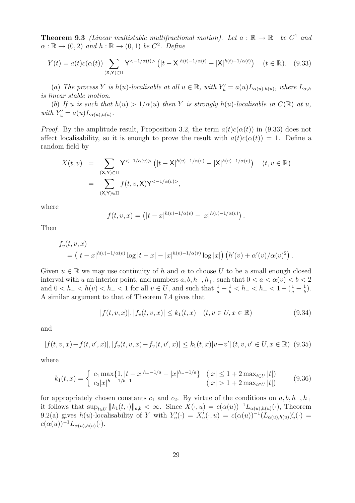**Theorem 9.3** (Linear multistable multifractional motion). Let  $a : \mathbb{R} \to \mathbb{R}^+$  be  $C^1$  and  $\alpha : \mathbb{R} \to (0, 2)$  and  $h : \mathbb{R} \to (0, 1)$  be  $C^2$ . Define

$$
Y(t) = a(t)c(\alpha(t)) \sum_{(\mathsf{X},\mathsf{Y}) \in \Pi} \mathsf{Y}^{<-1/\alpha(t)>} \left( |t - \mathsf{X}|^{h(t)-1/\alpha(t)} - |\mathsf{X}|^{h(t)-1/\alpha(t)} \right) \quad (t \in \mathbb{R}). \tag{9.33}
$$

(a) The process Y is h(u)-localisable at all  $u \in \mathbb{R}$ , with  $Y'_u = a(u)L_{\alpha(u),h(u)}$ , where  $L_{\alpha,h}$ is linear stable motion.

(b) If u is such that  $h(u) > 1/\alpha(u)$  then Y is strongly  $h(u)$ -localisable in  $C(\mathbb{R})$  at u, with  $Y'_u = a(u)L_{\alpha(u),h(u)}$ .

*Proof.* By the amplitude result, Proposition 3.2, the term  $a(t)c(\alpha(t))$  in (9.33) does not affect localisability, so it is enough to prove the result with  $a(t)c(\alpha(t)) = 1$ . Define a random field by

$$
X(t, v) = \sum_{\substack{(\mathsf{X}, \mathsf{Y}) \in \Pi \\ (\mathsf{X}, \mathsf{Y}) \in \Pi}} \mathsf{Y}^{< -1/\alpha(v) >} \left( |t - \mathsf{X}|^{h(v) - 1/\alpha(v)} - |\mathsf{X}|^{h(v) - 1/\alpha(v)} \right) \quad (t, v \in \mathbb{R})
$$
\n
$$
= \sum_{(\mathsf{X}, \mathsf{Y}) \in \Pi} f(t, v, \mathsf{X}) \mathsf{Y}^{< -1/\alpha(v) >},
$$

where

$$
f(t, v, x) = (|t - x|^{h(v) - 1/\alpha(v)} - |x|^{h(v) - 1/\alpha(v)}).
$$

Then

$$
f_v(t, v, x) = (|t - x|^{h(v) - 1/\alpha(v)} \log |t - x| - |x|^{h(v) - 1/\alpha(v)} \log |x|) (h'(v) + \alpha'(v)/\alpha(v)^2).
$$

Given  $u \in \mathbb{R}$  we may use continuity of h and  $\alpha$  to choose U to be a small enough closed interval with u an interior point, and numbers  $a, b, h_-, h_+$ , such that  $0 < a < \alpha(v) < b < 2$ and  $0 < h_- < h(v) < h_+ < 1$  for all  $v \in U$ , and such that  $\frac{1}{a} - \frac{1}{b} < h_- < h_+ < 1 - (\frac{1}{a} - \frac{1}{b})$  $\frac{1}{b}$ . A similar argument to that of Theorem 7.4 gives that

$$
|f(t, v, x)|, |f_v(t, v, x)| \le k_1(t, x) \quad (t, v \in U, x \in \mathbb{R})
$$
\n(9.34)

and

$$
|f(t, v, x) - f(t, v', x)|, |f_v(t, v, x) - f_v(t, v', x)| \le k_1(t, x)|v - v'| (t, v, v' \in U, x \in \mathbb{R})
$$
 (9.35)

where

$$
k_1(t,x) = \begin{cases} c_1 \max\{1, |t-x|^{h_{-1}/a} + |x|^{h_{-1}/a}\} & (|x| \le 1 + 2 \max_{t \in U} |t|) \\ c_2 |x|^{h_{+1}/b_{-1}} & (|x| > 1 + 2 \max_{t \in U} |t|) \end{cases}
$$
(9.36)

for appropriately chosen constants  $c_1$  and  $c_2$ . By virtue of the conditions on  $a, b, h_-, h_+$ it follows that  $\sup_{t\in U} ||k_1(t, \cdot)||_{a,b} < \infty$ . Since  $X(\cdot, u) = c(\alpha(u))^{-1}L_{\alpha(u),h(u)}(\cdot)$ , Theorem 9.2(a) gives  $h(u)$ -localisability of Y with  $Y_u'(\cdot) = X_u'(\cdot, u) = c(\alpha(u))^{-1}(L_{\alpha(u),h(u)})_u'(\cdot) =$  $c(\alpha(u))^{-1}L_{\alpha(u),h(u)}(\cdot).$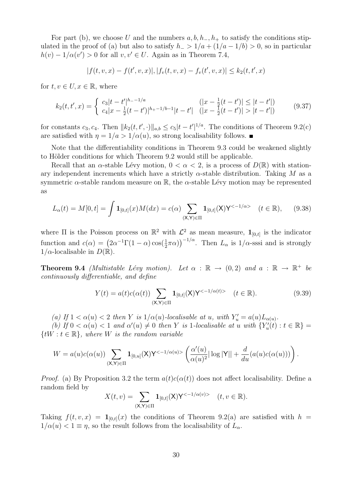For part (b), we choose U and the numbers  $a, b, h_-, h_+$  to satisfy the conditions stipulated in the proof of (a) but also to satisfy  $h_$  >  $1/a + (1/a - 1/b) > 0$ , so in particular  $h(v) - 1/\alpha(v') > 0$  for all  $v, v' \in U$ . Again as in Theorem 7.4,

$$
|f(t,v,x) - f(t',v,x)|, |f_v(t,v,x) - f_v(t',v,x)| \le k_2(t,t',x)
$$

for  $t, v \in U, x \in \mathbb{R}$ , where

$$
k_2(t, t', x) = \begin{cases} c_3|t - t'|^{h_2 - 1/a} & (|x - \frac{1}{2}(t - t')| \le |t - t'|\\ c_4|x - \frac{1}{2}(t - t')|^{h_2 - 1/b - 1}|t - t'| & (|x - \frac{1}{2}(t - t')| > |t - t'|) \end{cases}
$$
(9.37)

for constants  $c_3, c_4$ . Then  $||k_2(t, t', \cdot)||_{a,b} \le c_5|t-t'|^{1/a}$ . The conditions of Theorem 9.2(c) are satisfied with  $\eta = 1/a > 1/\alpha(u)$ , so strong localisability follows.

Note that the differentiability conditions in Theorem 9.3 could be weakened slightly to Hölder conditions for which Theorem 9.2 would still be applicable.

Recall that an  $\alpha$ -stable Lévy motion,  $0 < \alpha < 2$ , is a process of  $D(\mathbb{R})$  with stationary independent increments which have a strictly  $\alpha$ -stable distribution. Taking M as a symmetric  $\alpha$ -stable random measure on R, the  $\alpha$ -stable Lévy motion may be represented as

$$
L_{\alpha}(t) = M[0, t] = \int \mathbf{1}_{[0, t]}(x)M(dx) = c(\alpha) \sum_{(\mathsf{X}, \mathsf{Y}) \in \Pi} \mathbf{1}_{[0, t]}(\mathsf{X})\mathsf{Y}^{<-1/\alpha>} \quad (t \in \mathbb{R}), \tag{9.38}
$$

where  $\Pi$  is the Poisson process on  $\mathbb{R}^2$  with  $\mathcal{L}^2$  as mean measure,  $\mathbf{1}_{[0,t]}$  is the indicator function and  $c(\alpha) = (2\alpha^{-1}\Gamma(1-\alpha)\cos(\frac{1}{2}\pi\alpha))^{-1/\alpha}$ . Then  $L_{\alpha}$  is  $1/\alpha$ -sssi and is strongly  $1/\alpha$ -localisable in  $D(\mathbb{R})$ .

**Theorem 9.4** (Multistable Lévy motion). Let  $\alpha : \mathbb{R} \to (0, 2)$  and  $a : \mathbb{R} \to \mathbb{R}^+$  be continuously differentiable, and define

$$
Y(t) = a(t)c(\alpha(t)) \sum_{(\mathsf{X}, \mathsf{Y}) \in \Pi} \mathbf{1}_{[0,t]}(\mathsf{X})\mathsf{Y}^{<-1/\alpha(t)>} \quad (t \in \mathbb{R}).
$$
\n(9.39)

(a) If  $1 < \alpha(u) < 2$  then Y is  $1/\alpha(u)$ -localisable at u, with  $Y'_u = a(u)L_{\alpha(u)}$ .

(b) If  $0 < \alpha(u) < 1$  and  $\alpha'(u) \neq 0$  then Y is 1-localisable at u with  $\{Y'_u(t) : t \in \mathbb{R}\}$  ${tW : t \in \mathbb{R}}$ , where W is the random variable

$$
W = a(u)c(\alpha(u)) \sum_{(\mathsf{X},\mathsf{Y})\in\Pi} \mathbf{1}_{[0,u]}(\mathsf{X})\mathsf{Y}^{<-1/\alpha(u)>}\left(\frac{\alpha'(u)}{\alpha(u)^2}|\log|\mathsf{Y}||+\frac{d}{du}(a(u)c(\alpha(u)))\right).
$$

*Proof.* (a) By Proposition 3.2 the term  $a(t)c(\alpha(t))$  does not affect localisability. Define a random field by

$$
X(t,v) = \sum_{(\mathsf{X},\mathsf{Y})\in\Pi} \mathbf{1}_{[0,t]}(\mathsf{X})\mathsf{Y}^{<-1/\alpha(v)>} \quad (t,v\in\mathbb{R}).
$$

Taking  $f(t, v, x) = \mathbf{1}_{[0,t]}(x)$  the conditions of Theorem 9.2(a) are satisfied with  $h =$  $1/\alpha(u) < 1 \equiv \eta$ , so the result follows from the localisability of  $L_{\alpha}$ .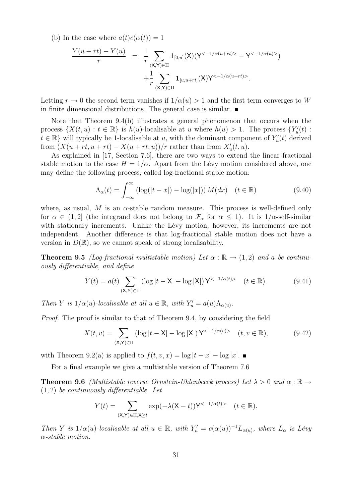(b) In the case where  $a(t)c(\alpha(t)) = 1$ 

$$
\frac{Y(u+rt)-Y(u)}{r} = \frac{1}{r} \sum_{(\mathsf{X},\mathsf{Y}) \in \Pi} \mathbf{1}_{[0,u]}(\mathsf{X})(\mathsf{Y}^{<-1/\alpha(u+rt)>} - \mathsf{Y}^{<-1/\alpha(u)>}) \n+ \frac{1}{r} \sum_{(\mathsf{X},\mathsf{Y}) \in \Pi} \mathbf{1}_{[u,u+rt]}(\mathsf{X})\mathsf{Y}^{<-1/\alpha(u+rt)>}.
$$

Letting  $r \to 0$  the second term vanishes if  $1/\alpha(u) > 1$  and the first term converges to W in finite dimensional distributions. The general case is similar.

Note that Theorem 9.4(b) illustrates a general phenomenon that occurs when the process  $\{X(t, u): t \in \mathbb{R}\}\$ is  $h(u)$ -localisable at u where  $h(u) > 1$ . The process  $\{Y'_u(t):$  $t \in \mathbb{R}$  will typically be 1-localisable at u, with the dominant component of  $Y_u'(t)$  derived from  $(X(u + rt, u + rt) - X(u + rt, u))/r$  rather than from  $X'_u(t, u)$ .

As explained in [17, Section 7.6], there are two ways to extend the linear fractional stable motion to the case  $H = 1/\alpha$ . Apart from the Lévy motion considered above, one may define the following process, called log-fractional stable motion:

$$
\Lambda_{\alpha}(t) = \int_{-\infty}^{\infty} \left( \log(|t - x|) - \log(|x|) \right) M(dx) \quad (t \in \mathbb{R}) \tag{9.40}
$$

where, as usual, M is an  $\alpha$ -stable random measure. This process is well-defined only for  $\alpha \in (1,2]$  (the integrand does not belong to  $\mathcal{F}_{\alpha}$  for  $\alpha \leq 1$ ). It is  $1/\alpha$ -self-similar with stationary increments. Unlike the Lévy motion, however, its increments are not independent. Another difference is that log-fractional stable motion does not have a version in  $D(\mathbb{R})$ , so we cannot speak of strong localisability.

**Theorem 9.5** (Log-fractional multistable motion) Let  $\alpha : \mathbb{R} \to (1,2)$  and a be continuously differentiable, and define

$$
Y(t) = a(t) \sum_{\substack{(\mathsf{X}, \mathsf{Y}) \in \Pi}} (\log |t - \mathsf{X}| - \log |\mathsf{X}|) \mathsf{Y}^{< -1/\alpha(t) > (t \in \mathbb{R}).\tag{9.41}
$$

Then Y is  $1/\alpha(u)$ -localisable at all  $u \in \mathbb{R}$ , with  $Y'_u = a(u)\Lambda_{\alpha(u)}$ .

Proof. The proof is similar to that of Theorem 9.4, by considering the field

$$
X(t,v) = \sum_{\substack{(\mathsf{X},\mathsf{Y}) \in \Pi}} (\log|t-\mathsf{X}| - \log|\mathsf{X}|) \mathsf{Y}^{<-1/\alpha(v)>} \quad (t,v \in \mathbb{R}),\tag{9.42}
$$

with Theorem 9.2(a) is applied to  $f(t, v, x) = \log |t - x| - \log |x|$ .

For a final example we give a multistable version of Theorem 7.6

**Theorem 9.6** (Multistable reverse Ornstein-Uhlenbeeck process) Let  $\lambda > 0$  and  $\alpha : \mathbb{R} \to$  $(1, 2)$  be continuously differentiable. Let

$$
Y(t) = \sum_{(\mathsf{X},\mathsf{Y})\in\Pi,\mathsf{X}\geq t} \exp(-\lambda(\mathsf{X}-t))\mathsf{Y}^{<-1/\alpha(t)>} \quad (t\in\mathbb{R}).
$$

Then Y is  $1/\alpha(u)$ -localisable at all  $u \in \mathbb{R}$ , with  $Y'_u = c(\alpha(u))^{-1}L_{\alpha(u)}$ , where  $L_{\alpha}$  is Lévy α-stable motion.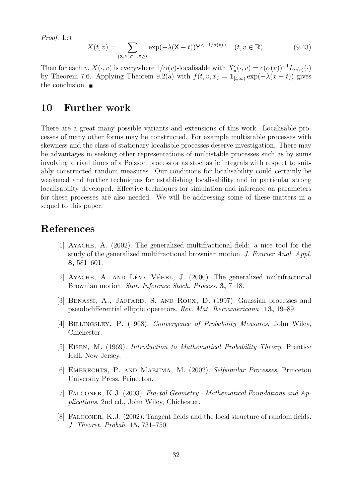Proof. Let

$$
X(t,v) = \sum_{(\mathsf{X},\mathsf{Y}) \in \Pi, \mathsf{X} \ge t} \exp(-\lambda(\mathsf{X}-t)) \mathsf{Y}^{<-1/\alpha(v)>} \quad (t,v \in \mathbb{R}). \tag{9.43}
$$

Then for each  $v, X(\cdot, v)$  is everywhere  $1/\alpha(v)$ -localisable with  $X'_u(\cdot, v) = c(\alpha(v))^{-1}L_{\alpha(v)}(\cdot)$ by Theorem 7.6. Applying Theorem 9.2(a) with  $f(t, v, x) = \mathbf{1}_{[t,\infty)} \exp(-\lambda(x-t))$  gives the conclusion.  $\blacksquare$ 

### 10 Further work

There are a great many possible variants and extensions of this work. Localisable processes of many other forms may be constructed. For example multistable processes with skewness and the class of stationary localisble processes deserve investigation. There may be advantages in seeking other representations of multistable processes such as by sums involving arrival times of a Poisson process or as stochastic integrals with respect to suitably constructed random measures. Our conditions for localisability could certainly be weakened and further techniques for establishing localisability and in particular strong localisability developed. Effective techniques for simulation and inference on parameters for these processes are also needed. We will be addressing some of these matters in a sequel to this paper.

#### References

- [1] Ayache, A. (2002). The generalized multifractional field: a nice tool for the study of the generalized multifractional brownian motion. J. Fourier Anal. Appl. 8, 581–601.
- [2] AYACHE, A. AND LÉVY VÉHEL, J.  $(2000)$ . The generalized multifractional Brownian motion. Stat. Inference Stoch. Process. 3, 7–18.
- [3] Benassi, A., Jaffard, S. and Roux, D. (1997). Gaussian processes and pseudodifferential elliptic operators. Rev. Mat. Iberoamericana 13, 19–89.
- [4] BILLINGSLEY, P. (1968). Convergence of Probability Measures, John Wiley, Chichester.
- [5] Eisen, M. (1969). Introduction to Mathematical Probability Theory, Prentice Hall, New Jersey.
- [6] EMBRECHTS, P. AND MAEJIMA, M. (2002). Selfsimilar Processes, Princeton University Press, Princeton.
- [7] Falconer, K.J. (2003). Fractal Geometry Mathematical Foundations and Applications, 2nd ed., John Wiley, Chichester.
- [8] Falconer, K.J. (2002). Tangent fields and the local structure of random fields. J. Theoret. Probab. 15, 731–750.